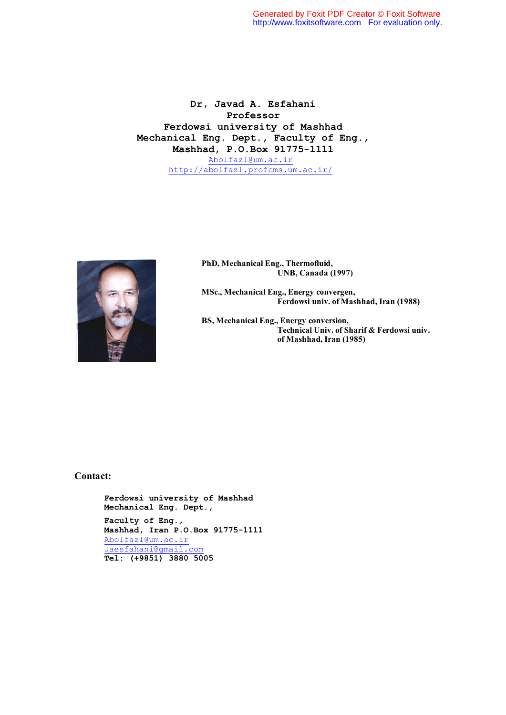**Dr, Javad A. Esfahani Professor Ferdowsi university of Mashhad Mechanical Eng. Dept., Faculty of Eng., Mashhad, P.O.Box 91775-1111** Abolfazl@um.ac.ir http://abolfazl.profcms.um.ac.ir/



 **PhD, Mechanical Eng., Thermofluid, UNB, Canada (1997)**

 **MSc., Mechanical Eng., Energy convergen, Ferdowsi univ. of Mashhad, Iran (1988)**

 **BS, Mechanical Eng., Energy conversion, Technical Univ. of Sharif & Ferdowsi univ. of Mashhad, Iran (1985)**

#### **Contact:**

**Ferdowsi university of Mashhad Mechanical Eng. Dept., Faculty of Eng., Mashhad, Iran P.O.Box 91775-1111** Abolfazl@um.ac.ir Jaesfahani@gmail.com  **Tel: (+9851) 3880 5005**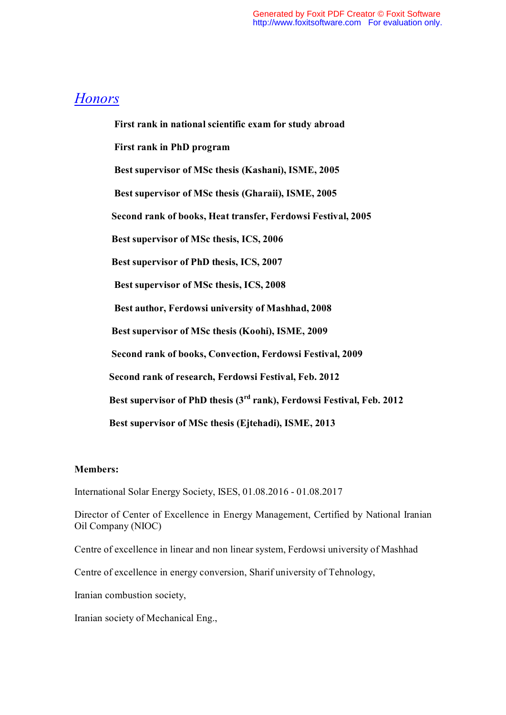## *Honors*

 **First rank in national scientific exam for study abroad First rank in PhD program Best supervisor of MSc thesis (Kashani), ISME, 2005 Best supervisor of MSc thesis (Gharaii), ISME, 2005 Second rank of books, Heat transfer, Ferdowsi Festival, 2005 Best supervisor of MSc thesis, ICS, 2006 Best supervisor of PhD thesis, ICS, 2007 Best supervisor of MSc thesis, ICS, 2008 Best author, Ferdowsi university of Mashhad, 2008 Best supervisor of MSc thesis (Koohi), ISME, 2009 Second rank of books, Convection, Ferdowsi Festival, 2009 Second rank of research, Ferdowsi Festival, Feb. 2012 Best supervisor of PhD thesis (3rd rank), Ferdowsi Festival, Feb. 2012 Best supervisor of MSc thesis (Ejtehadi), ISME, 2013** 

### **Members:**

International Solar Energy Society, ISES, 01.08.2016 - 01.08.2017

Director of Center of Excellence in Energy Management, Certified by National Iranian Oil Company (NIOC)

Centre of excellence in linear and non linear system, Ferdowsi university of Mashhad

Centre of excellence in energy conversion, Sharif university of Tehnology,

Iranian combustion society,

Iranian society of Mechanical Eng.,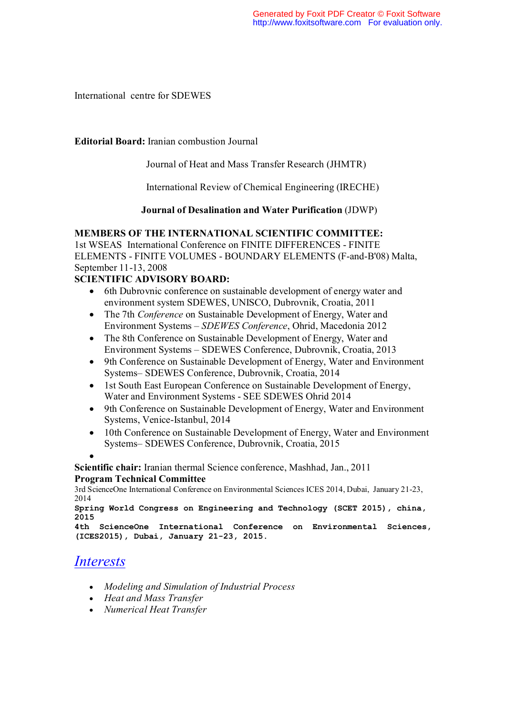International centre for SDEWES

### **Editorial Board:** Iranian combustion Journal

Journal of Heat and Mass Transfer Research (JHMTR)

International Review of Chemical Engineering (IRECHE)

### **Journal of Desalination and Water Purification** (JDWP)

### **MEMBERS OF THE INTERNATIONAL SCIENTIFIC COMMITTEE:**

1st WSEAS International Conference on FINITE DIFFERENCES - FINITE ELEMENTS - FINITE VOLUMES - BOUNDARY ELEMENTS (F-and-B'08) Malta, September 11-13, 2008

### **SCIENTIFIC ADVISORY BOARD:**

- 6th Dubrovnic conference on sustainable development of energy water and environment system SDEWES, UNISCO, Dubrovnik, Croatia, 2011
- The 7th *Conference* on Sustainable Development of Energy, Water and Environment Systems – *SDEWES Conference*, Ohrid, Macedonia 2012
- The 8th Conference on Sustainable Development of Energy, Water and Environment Systems – SDEWES Conference, Dubrovnik, Croatia, 2013
- 9th Conference on Sustainable Development of Energy, Water and Environment Systems– SDEWES Conference, Dubrovnik, Croatia, 2014
- 1st South East European Conference on Sustainable Development of Energy, Water and Environment Systems - SEE SDEWES Ohrid 2014
- 9th Conference on Sustainable Development of Energy, Water and Environment Systems, Venice-Istanbul, 2014
- 10th Conference on Sustainable Development of Energy, Water and Environment Systems– SDEWES Conference, Dubrovnik, Croatia, 2015

 $\bullet$ 

**Scientific chair:** Iranian thermal Science conference, Mashhad, Jan., 2011 **Program Technical Committee**

3rd ScienceOne International Conference on Environmental Sciences ICES 2014, Dubai, January 21-23, 2014

```
Spring World Congress on Engineering and Technology (SCET 2015), china, 
2015
```

```
4th ScienceOne International Conference on Environmental Sciences, 
(ICES2015), Dubai, January 21-23, 2015.
```
## *Interests*

- *Modeling and Simulation of Industrial Process*
- *Heat and Mass Transfer*
- *Numerical Heat Transfer*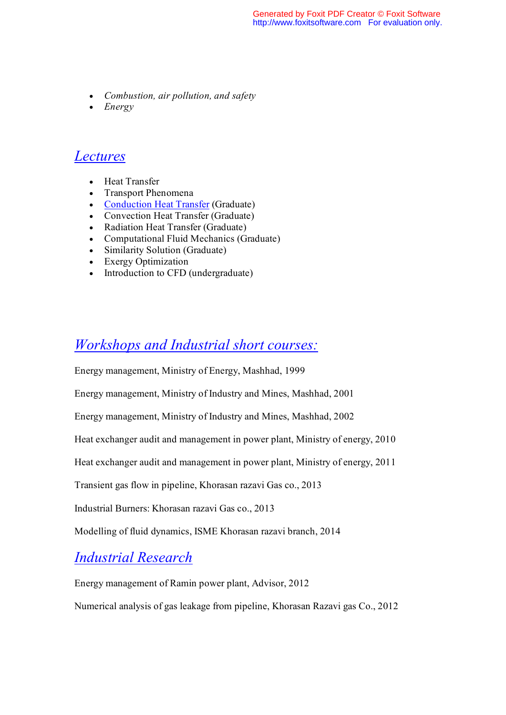- *Combustion, air pollution, and safety*
- *Energy*

### *Lectures*

- Heat Transfer
- Transport Phenomena
- Conduction Heat Transfer (Graduate)
- Convection Heat Transfer (Graduate)
- Radiation Heat Transfer (Graduate)
- Computational Fluid Mechanics (Graduate)
- Similarity Solution (Graduate)
- Exergy Optimization
- Introduction to CFD (undergraduate)

# *Workshops and Industrial short courses:*

Energy management, Ministry of Energy, Mashhad, 1999

Energy management, Ministry of Industry and Mines, Mashhad, 2001

Energy management, Ministry of Industry and Mines, Mashhad, 2002

Heat exchanger audit and management in power plant, Ministry of energy, 2010

Heat exchanger audit and management in power plant, Ministry of energy, 2011

Transient gas flow in pipeline, Khorasan razavi Gas co., 2013

Industrial Burners: Khorasan razavi Gas co., 2013

Modelling of fluid dynamics, ISME Khorasan razavi branch, 2014

## *Industrial Research*

Energy management of Ramin power plant, Advisor, 2012

Numerical analysis of gas leakage from pipeline, Khorasan Razavi gas Co., 2012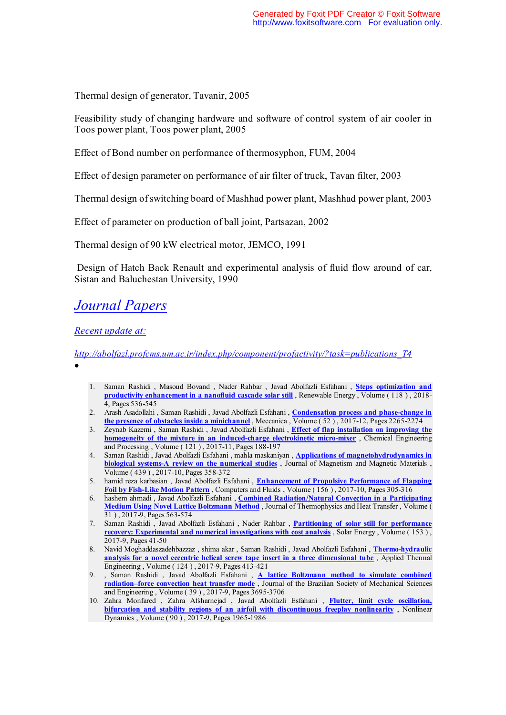Thermal design of generator, Tavanir, 2005

Feasibility study of changing hardware and software of control system of air cooler in Toos power plant, Toos power plant, 2005

Effect of Bond number on performance of thermosyphon, FUM, 2004

Effect of design parameter on performance of air filter of truck, Tavan filter, 2003

Thermal design of switching board of Mashhad power plant, Mashhad power plant, 2003

Effect of parameter on production of ball joint, Partsazan, 2002

Thermal design of 90 kW electrical motor, JEMCO, 1991

 Design of Hatch Back Renault and experimental analysis of fluid flow around of car, Sistan and Baluchestan University, 1990

# *Journal Papers*

*Recent update at:* 

*http://abolfazl.profcms.um.ac.ir/index.php/component/profactivity/?task=publications\_T4* 

- $\bullet$
- 1. Saman Rashidi , Masoud Bovand , Nader Rahbar , Javad Abolfazli Esfahani , **Steps optimization and productivity enhancement in a nanofluid cascade solar still** , Renewable Energy , Volume ( 118 ) , 2018- 4, Pages 536-545
- 2. Arash Asadollahi , Saman Rashidi , Javad Abolfazli Esfahani , **Condensation process and phase-change in the presence of obstacles inside a minichannel** , Meccanica , Volume ( 52 ) , 2017-12, Pages 2265-2274
- 3. Zeynab Kazemi , Saman Rashidi , Javad Abolfazli Esfahani , **Effect of flap installation on improving the homogeneity of the mixture in an induced-charge electrokinetic micro-mixer** , Chemical Engineering and Processing , Volume ( 121 ) , 2017-11, Pages 188-197
- 4. Saman Rashidi , Javad Abolfazli Esfahani , mahla maskaniyan , **Applications of magnetohydrodynamics in biological systems-A review on the numerical studies** , Journal of Magnetism and Magnetic Materials , Volume ( 439 ) , 2017-10, Pages 358-372
- 5. hamid reza karbasian , Javad Abolfazli Esfahani , **Enhancement of Propulsive Performance of Flapping Foil by Fish-Like Motion Pattern** , Computers and Fluids , Volume ( 156 ) , 2017-10, Pages 305-316
- 6. hashem ahmadi , Javad Abolfazli Esfahani , **Combined Radiation/Natural Convection in a Participating Medium Using Novel Lattice Boltzmann Method** , Journal of Thermophysics and Heat Transfer , Volume ( 31 ) , 2017-9, Pages 563-574
- 7. Saman Rashidi , Javad Abolfazli Esfahani , Nader Rahbar , **Partitioning of solar still for performance recovery: Experimental and numerical investigations with cost analysis** , Solar Energy , Volume ( 153 ) , 2017-9, Pages 41-50
- 8. Navid Moghaddaszadehbazzaz , shima akar , Saman Rashidi , Javad Abolfazli Esfahani , **Thermo-hydraulic analysis for a novel eccentric helical screw tape insert in a three dimensional tube** , Applied Thermal Engineering , Volume ( 124 ) , 2017-9, Pages 413-421
- 9. , Saman Rashidi , Javad Abolfazli Esfahani , **A lattice Boltzmann method to simulate combined radiation–force convection heat transfer mode** , Journal of the Brazilian Society of Mechanical Sciences and Engineering , Volume ( 39 ) , 2017-9, Pages 3695-3706
- 10. Zahra Monfared , Zahra Afsharnejad , Javad Abolfazli Esfahani , **Flutter, limit cycle oscillation, bifurcation and stability regions of an airfoil with discontinuous freeplay nonlinearity** , Nonlinear Dynamics , Volume ( 90 ) , 2017-9, Pages 1965-1986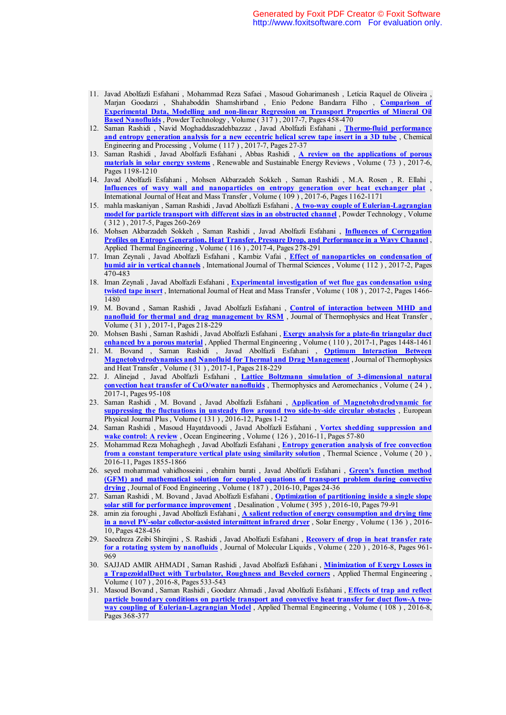- 11. Javad Abolfazli Esfahani , Mohammad Reza Safaei , Masoud Goharimanesh , Letícia Raquel de Oliveira , Marjan Goodarzi , Shahaboddin Shamshirband , Enio Pedone Bandarra Filho , **Comparison of Experimental Data, Modelling and non-linear Regression on Transport Properties of Mineral Oil Based Nanofluids** , Powder Technology , Volume ( 317 ) , 2017-7, Pages 458-470
- 12. Saman Rashidi , Navid Moghaddaszadehbazzaz , Javad Abolfazli Esfahani , **Thermo-fluid performance and entropy generation analysis for a new eccentric helical screw tape insert in a 3D tube** , Chemical Engineering and Processing , Volume ( 117 ) , 2017-7, Pages 27-37
- 13. Saman Rashidi , Javad Abolfazli Esfahani , Abbas Rashidi , **A review on the applications of porous materials in solar energy systems** , Renewable and Sustainable Energy Reviews , Volume ( 73 ) , 2017-6, Pages 1198-1210
- 14. Javad Abolfazli Esfahani , Mohsen Akbarzadeh Sokkeh , Saman Rashidi , M.A. Rosen , R. Ellahi , **Influences of wavy wall and nanoparticles on entropy generation over heat exchanger plat** , International Journal of Heat and Mass Transfer , Volume ( 109 ) , 2017-6, Pages 1162-1171
- 15. mahla maskaniyan , Saman Rashidi , Javad Abolfazli Esfahani , **A two-way couple of Eulerian-Lagrangian model for particle transport with different sizes in an obstructed channel** , Powder Technology , Volume ( 312 ) , 2017-5, Pages 260-269
- 16. Mohsen Akbarzadeh Sokkeh , Saman Rashidi , Javad Abolfazli Esfahani , **Influences of Corrugation Profiles on Entropy Generation, Heat Transfer, Pressure Drop, and Performance in a Wavy Channel** , Applied Thermal Engineering , Volume ( 116 ) , 2017-4, Pages 278-291
- 17. Iman Zeynali , Javad Abolfazli Esfahani , Kambiz Vafai , **Effect of nanoparticles on condensation of humid air in vertical channels** , International Journal of Thermal Sciences , Volume ( 112 ) , 2017-2, Pages 470-483
- 18. Iman Zeynali , Javad Abolfazli Esfahani , **Experimental investigation of wet flue gas condensation using twisted tape insert** , International Journal of Heat and Mass Transfer , Volume ( 108 ) , 2017-2, Pages 1466- 1480
- 19. M. Bovand , Saman Rashidi , Javad Abolfazli Esfahani , **Control of interaction between MHD and**  nanofluid for thermal and drag management by RSM, Journal of Thermophysics and Heat Transfer, Volume ( 31 ) , 2017-1, Pages 218-229
- 20. Mohsen Bashi , Saman Rashidi , Javad Abolfazli Esfahani , **Exergy analysis for a plate-fin triangular duct enhanced by a porous material** , Applied Thermal Engineering , Volume ( 110 ) , 2017-1, Pages 1448-1461
- 21. M. Bovand , Saman Rashidi , Javad Abolfazli Esfahani , **Optimum Interaction Between Magnetohydrodynamics and Nanofluid for Thermal and Drag Management** , Journal of Thermophysics and Heat Transfer , Volume ( 31 ) , 2017-1, Pages 218-229
- 22. J. Alinejad , Javad Abolfazli Esfahani , **Lattice Boltzmann simulation of 3-dimensional natural convection heat transfer of CuO/water nanofluids** , Thermophysics and Aeromechanics , Volume ( 24 ) , 2017-1, Pages 95-108
- 23. Saman Rashidi , M. Bovand , Javad Abolfazli Esfahani , **Application of Magnetohydrodynamic for suppressing the fluctuations in unsteady flow around two side-by-side circular obstacles** , European Physical Journal Plus , Volume ( 131 ) , 2016-12, Pages 1-12
- 24. Saman Rashidi , Masoud Hayatdavoodi , Javad Abolfazli Esfahani , **Vortex shedding suppression and wake control: A review** , Ocean Engineering , Volume ( 126 ) , 2016-11, Pages 57-80
- 25. Mohammad Reza Mohaghegh , Javad Abolfazli Esfahani , **Entropy generation analysis of free convection from a constant temperature vertical plate using similarity solution** , Thermal Science , Volume ( 20 ) , 2016-11, Pages 1855-1866
- 26. seyed mohammad vahidhosseini , ebrahim barati , Javad Abolfazli Esfahani , **Green's function method (GFM) and mathematical solution for coupled equations of transport problem during convective drying** , Journal of Food Engineering , Volume ( 187 ) , 2016-10, Pages 24-36
- 27. Saman Rashidi , M. Bovand , Javad Abolfazli Esfahani , **Optimization of partitioning inside a single slope**  solar still for performance improvement, Desalination , Volume (395), 2016-10, Pages 79-91
- 28. amin zia foroughi , Javad Abolfazli Esfahani , **A salient reduction of energy consumption and drying time in a novel PV-solar collector-assisted intermittent infrared dryer** , Solar Energy , Volume ( 136 ) , 2016- 10, Pages 428-436
- 29. Saeedreza Zeibi Shirejini , S. Rashidi , Javad Abolfazli Esfahani , **Recovery of drop in heat transfer rate for a rotating system by nanofluids** , Journal of Molecular Liquids , Volume ( 220 ) , 2016-8, Pages 961- 969
- 30. SAJJAD AMIR AHMADI , Saman Rashidi , Javad Abolfazli Esfahani , **Minimization of Exergy Losses in a TrapezoidalDuct with Turbulator, Roughness and Beveled corners** , Applied Thermal Engineering , Volume ( 107 ) , 2016-8, Pages 533-543
- 31. Masoud Bovand , Saman Rashidi , Goodarz Ahmadi , Javad Abolfazli Esfahani , **Effects of trap and reflect particle boundary conditions on particle transport and convective heat transfer for duct flow-A twoway coupling of Eulerian-Lagrangian Model** , Applied Thermal Engineering , Volume ( 108 ) , 2016-8, Pages 368-377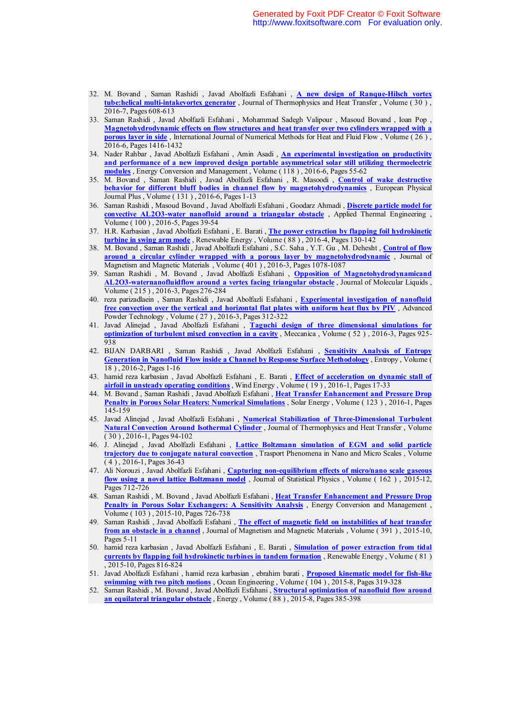- 32. M. Bovand , Saman Rashidi , Javad Abolfazli Esfahani , **A new design of Ranque-Hilsch vortex tube:helical multi-intakevortex generator** , Journal of Thermophysics and Heat Transfer , Volume ( 30 ) , 2016-7, Pages 608-613
- 33. Saman Rashidi , Javad Abolfazli Esfahani , Mohammad Sadegh Valipour , Masoud Bovand , Ioan Pop , **Magnetohydrodynamic effects on flow structures and heat transfer over two cylinders wrapped with a porous layer in side**, International Journal of Numerical Methods for Heat and Fluid Flow, Volume (26), 2016-6, Pages 1416-1432
- 34. Nader Rahbar , Javad Abolfazli Esfahani , Amin Asadi , **An experimental investigation on productivity and performance of a new improved design portable asymmetrical solar still utilizing thermoelectric modules** , Energy Conversion and Management , Volume ( 118 ) , 2016-6, Pages 55-62
- 35. M. Bovand , Saman Rashidi , Javad Abolfazli Esfahani , R. Masoodi , **Control of wake destructive behavior for different bluff bodies in channel flow by magnetohydrodynamics** , European Physical Journal Plus , Volume ( 131 ) , 2016-6, Pages 1-13
- 36. Saman Rashidi , Masoud Bovand , Javad Abolfazli Esfahani , Goodarz Ahmadi , **Discrete particle model for convective AL2O3-water nanofluid around a triangular obstacle** , Applied Thermal Engineering , Volume ( 100 ) , 2016-5, Pages 39-54
- 37. H.R. Karbasian , Javad Abolfazli Esfahani , E. Barati , **The power extraction by flapping foil hydrokinetic turbine in swing arm mode** , Renewable Energy , Volume ( 88 ) , 2016-4, Pages 130-142
- 38. M. Bovand , Saman Rashidi , Javad Abolfazli Esfahani , S.C. Saha , Y.T. Gu , M. Dehesht , **Control of flow around a circular cylinder wrapped with a porous layer by magnetohydrodynamic** , Journal of Magnetism and Magnetic Materials , Volume ( 401 ) , 2016-3, Pages 1078-1087
- 39. Saman Rashidi , M. Bovand , Javad Abolfazli Esfahani , **Opposition of Magnetohydrodynamicand AL2O3-waternanofluidflow around a vertex facing triangular obstacle** , Journal of Molecular Liquids , Volume ( 215 ) , 2016-3, Pages 276-284
- 40. reza parizadlaein , Saman Rashidi , Javad Abolfazli Esfahani , **Experimental investigation of nanofluid free convection over the vertical and horizontal flat plates with uniform heat flux by PIV** , Advanced Powder Technology , Volume ( 27 ) , 2016-3, Pages 312-322
- 41. Javad Alinejad , Javad Abolfazli Esfahani , **Taguchi design of three dimensional simulations for optimization of turbulent mixed convection in a cavity** , Meccanica , Volume ( 52 ) , 2016-3, Pages 925- 938
- 42. BIJAN DARBARI , Saman Rashidi , Javad Abolfazli Esfahani , **Sensitivity Analysis of Entropy Generation in Nanofluid Flow inside a Channel by Response Surface Methodology** , Entropy , Volume ( 18 ) , 2016-2, Pages 1-16
- 43. hamid reza karbasian , Javad Abolfazli Esfahani , E. Barati , **Effect of acceleration on dynamic stall of airfoil in unsteady operating conditions** , Wind Energy , Volume ( 19 ) , 2016-1, Pages 17-33
- 44. M. Bovand , Saman Rashidi , Javad Abolfazli Esfahani , **Heat Transfer Enhancement and Pressure Drop Penalty in Porous Solar Heaters: Numerical Simulations** , Solar Energy , Volume ( 123 ) , 2016-1, Pages 145-159
- 45. Javad Alinejad , Javad Abolfazli Esfahani , **Numerical Stabilization of Three-Dimensional Turbulent Natural Convection Around Isothermal Cylinder** , Journal of Thermophysics and Heat Transfer , Volume ( 30 ) , 2016-1, Pages 94-102
- 46. J. Alinejad , Javad Abolfazli Esfahani , **Lattice Boltzmann simulation of EGM and solid particle trajectory due to conjugate natural convection** , Trasport Phenomena in Nano and Micro Scales , Volume ( 4 ) , 2016-1, Pages 36-43
- 47. Ali Norouzi , Javad Abolfazli Esfahani , **Capturing non-equilibrium effects of micro/nano scale gaseous flow using a novel lattice Boltzmann model** , Journal of Statistical Physics , Volume ( 162 ) , 2015-12, Pages 712-726
- 48. Saman Rashidi , M. Bovand , Javad Abolfazli Esfahani , **Heat Transfer Enhancement and Pressure Drop Penalty in Porous Solar Exchangers: A Sensitivity Analysis** , Energy Conversion and Management , Volume ( 103 ) , 2015-10, Pages 726-738
- 49. Saman Rashidi , Javad Abolfazli Esfahani , **The effect of magnetic field on instabilities of heat transfer from an obstacle in a channel**, Journal of Magnetism and Magnetic Materials, Volume (391), 2015-10, Pages 5-11
- 50. hamid reza karbasian , Javad Abolfazli Esfahani , E. Barati , **Simulation of power extraction from tidal currents by flapping foil hydrokinetic turbines in tandem formation** , Renewable Energy , Volume ( 81 ) , 2015-10, Pages 816-824
- 51. Javad Abolfazli Esfahani , hamid reza karbasian , ebrahim barati , **Proposed kinematic model for fish-like swimming with two pitch motions** , Ocean Engineering , Volume ( 104 ) , 2015-8, Pages 319-328
- 52. Saman Rashidi , M. Bovand , Javad Abolfazli Esfahani , **Structural optimization of nanofluid flow around an equilateral triangular obstacle** , Energy , Volume ( 88 ) , 2015-8, Pages 385-398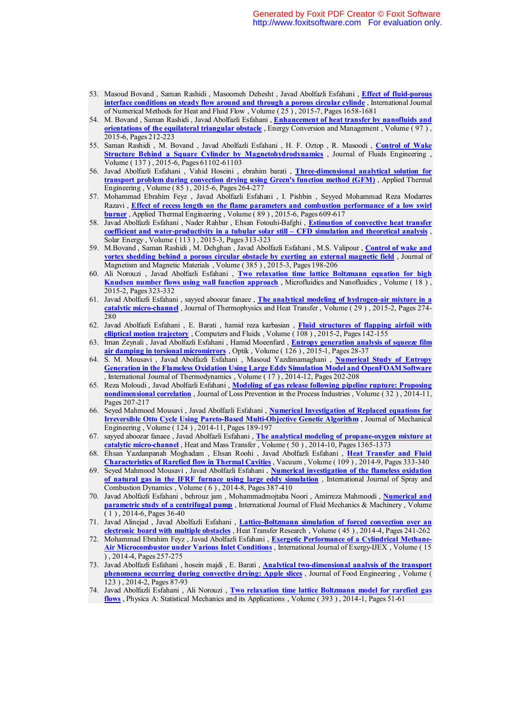- 53. Masoud Bovand , Saman Rashidi , Masoomeh Dehesht , Javad Abolfazli Esfahani , **Effect of fluid-porous interface conditions on steady flow around and through a porous circular cylinde** , International Journal of Numerical Methods for Heat and Fluid Flow , Volume ( 25 ) , 2015-7, Pages 1658-1681
- 54. M. Bovand , Saman Rashidi , Javad Abolfazli Esfahani , **Enhancement of heat transfer by nanofluids and orientations of the equilateral triangular obstacle**, Energy Conversion and Management, Volume (97), 2015-6, Pages 212-223
- 55. Saman Rashidi , M. Bovand , Javad Abolfazli Esfahani , H. F. Oztop , R. Masoodi , **Control of Wake Structure Behind a Square Cylinder by Magnetohydrodynamics** , Journal of Fluids Engineering , Volume ( 137 ) , 2015-6, Pages 61102-61103
- 56. Javad Abolfazli Esfahani , Vahid Hoseini , ebrahim barati , **Three-dimensional analytical solution for transport problem during convection drying using Green's function method (GFM)** , Applied Thermal Engineering , Volume ( 85 ) , 2015-6, Pages 264-277
- 57. Mohammad Ebrahim Feyz , Javad Abolfazli Esfahani , I. Pishbin , Seyyed Mohammad Reza Modarres Razavi , **Effect of recess length on the flame parameters and combustion performance of a low swirl burner** , Applied Thermal Engineering , Volume ( 89 ) , 2015-6, Pages 609-617
- 58. Javad Abolfazli Esfahani , Nader Rahbar , Ehsan Fotouhi-Bafghi , **Estimation of convective heat transfer coefficient and water-productivity in a tubular solar still – CFD simulation and theoretical analysis** , Solar Energy , Volume ( 113 ) , 2015-3, Pages 313-323
- 59. M.Bovand , Saman Rashidi , M. Dehghan , Javad Abolfazli Esfahani , M.S. Valipour , **Control of wake and vortex shedding behind a porous circular obstacle by exerting an external magnetic field**, Journal of Magnetism and Magnetic Materials , Volume ( 385 ) , 2015-3, Pages 198-206
- 60. Ali Norouzi , Javad Abolfazli Esfahani , **Two relaxation time lattice Boltzmann equation for high Knudsen number flows using wall function approach**, Microfluidics and Nanofluidics, Volume (18), 2015-2, Pages 323-332
- 61. Javad Abolfazli Esfahani , sayyed aboozar fanaee , **The analytical modeling of hydrogen-air mixture in a catalytic micro-channel** , Journal of Thermophysics and Heat Transfer , Volume ( 29 ) , 2015-2, Pages 274- 280
- 62. Javad Abolfazli Esfahani , E. Barati , hamid reza karbasian , **Fluid structures of flapping airfoil with elliptical motion trajectory** , Computers and Fluids , Volume ( 108 ) , 2015-2, Pages 142-155
- 63. Iman Zeynali , Javad Abolfazli Esfahani , Hamid Moeenfard , **Entropy generation analysis of squeeze film air damping in torsional micromirrors** , Optik , Volume ( 126 ) , 2015-1, Pages 28-37
- 64. S. M. Mousavi , Javad Abolfazli Esfahani , Masoud Yazdimamaghani , **Numerical Study of Entropy Generation in the Flameless Oxidation Using Large Eddy Simulation Model and OpenFOAM Software** , International Journal of Thermodynamics , Volume ( 17 ) , 2014-12, Pages 202-208
- 65. Reza Moloudi , Javad Abolfazli Esfahani , **Modeling of gas release following pipeline rupture: Proposing nondimensional correlation**, Journal of Loss Prevention in the Process Industries, Volume (32), 2014-11, Pages 207-217
- 66. Seyed Mahmood Mousavi , Javad Abolfazli Esfahani , **Numerical Investigation of Replaced equations for Irreversible Otto Cycle Using Pareto-Based Multi-Objective Genetic Algorithm** , Journal of Mechanical Engineering , Volume ( 124 ) , 2014-11, Pages 189-197
- 67. sayyed aboozar fanaee , Javad Abolfazli Esfahani , **The analytical modeling of propane-oxygen mixture at catalytic micro-channel** , Heat and Mass Transfer , Volume ( 50 ) , 2014-10, Pages 1365-1373
- 68. Ehsan Yazdanpanah Moghadam , Ehsan Roohi , Javad Abolfazli Esfahani , **Heat Transfer and Fluid Characteristics of Rarefied flow in Thermal Cavities** , Vacuum , Volume ( 109 ) , 2014-9, Pages 333-340
- 69. Seyed Mahmood Mousavi , Javad Abolfazli Esfahani , **Numerical investigation of the flameless oxidation**  of natural gas in the IFRF furnace using large eddy simulation , International Journal of Spray and Combustion Dynamics , Volume ( 6 ) , 2014-8, Pages 387-410
- 70. Javad Abolfazli Esfahani , behrouz jam , Mohammadmojtaba Noori , Amirreza Mahmoodi , **Numerical and parametric study of a centrifugal pump** , International Journal of Fluid Mechanics & Machinery , Volume  $(1)$ , 2014-6, Pages 36-40
- 71. Javad Alinejad , Javad Abolfazli Esfahani , **Lattice-Boltzmann simulation of forced convection over an electronic board with multiple obstacles** , Heat Transfer Research , Volume ( 45 ) , 2014-4, Pages 241-262
- 72. Mohammad Ebrahim Feyz , Javad Abolfazli Esfahani , **Exergetic Performance of a Cylindrical Methane-Air Microcombustor under Various Inlet Conditions** , International Journal of Exergy-IJEX , Volume ( 15 ) , 2014-4, Pages 257-275
- 73. Javad Abolfazli Esfahani , hosein majdi , E. Barati , **Analytical two-dimensional analysis of the transport phenomena occurring during convective drying: Apple slices** , Journal of Food Engineering , Volume ( 123 ) , 2014-2, Pages 87-93
- 74. Javad Abolfazli Esfahani , Ali Norouzi , **Two relaxation time lattice Boltzmann model for rarefied gas flows** , Physica A: Statistical Mechanics and its Applications , Volume ( 393 ) , 2014-1, Pages 51-61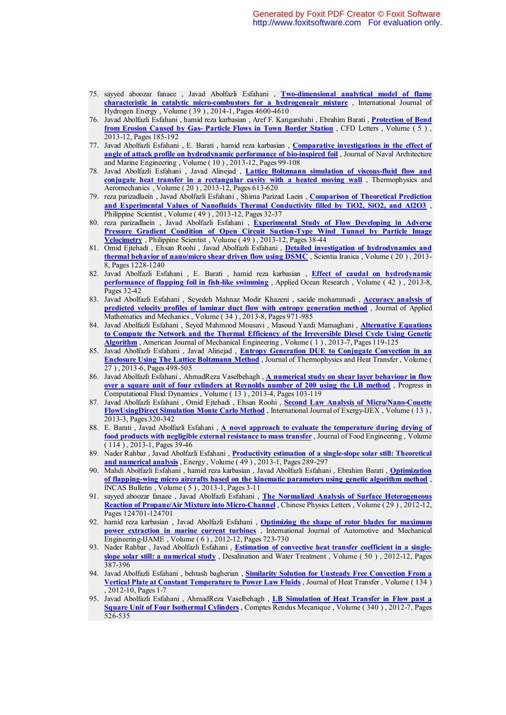- 75. sayyed aboozar fanaee , Javad Abolfazli Esfahani , **Two-dimensional analytical model of flame characteristic in catalytic micro-combustors for a hydrogeneair mixture** , International Journal of Hydrogen Energy , Volume ( 39 ) , 2014-1, Pages 4600-4610
- 76. Javad Abolfazli Esfahani , hamid reza karbasian , Aref F. Kangarshahi , Ebrahim Barati , **Protection of Bend from Erosion Caused by Gas- Particle Flows in Town Border Station** , CFD Letters , Volume ( 5 ) , 2013-12, Pages 185-192
- 77. Javad Abolfazli Esfahani , E. Barati , hamid reza karbasian , **Comparative investigations in the effect of angle of attack profile on hydrodynamic performance of bio-inspired foil**, Journal of Naval Architecture and Marine Engineering , Volume ( 10 ) , 2013-12, Pages 99-108
- 78. Javad Abolfazli Esfahani , Javad Alinejad , **Lattice Boltzmann simulation of viscous-fluid flow and conjugate heat transfer in a rectangular cavity with a heated moving wall** , Thermophysics and Aeromechanics , Volume ( 20 ) , 2013-12, Pages 613-620
- 79. reza parizadlaein , Javad Abolfazli Esfahani , Shima Parizad Laein , **Comparison of Theoretical Prediction and Experimental Values of Nanofluids Thermal Conductivity filled by TiO2, SiO2, and Al2O3** , Philippine Scientist , Volume ( 49 ) , 2013-12, Pages 32-37
- 80. reza parizadlaein , Javad Abolfazli Esfahani , **Experimental Study of Flow Developing in Adverse Pressure Gradient Condition of Open Circuit Suction-Type Wind Tunnel by Particle Image Velocimetry** , Philippine Scientist , Volume ( 49 ) , 2013-12, Pages 38-44
- 81. Omid Ejtehadi , Ehsan Roohi , Javad Abolfazli Esfahani , **Detailed investigation of hydrodynamics and thermal behavior of nano/micro shear driven flow using DSMC** , Scientia Iranica , Volume ( 20 ) , 2013- 8, Pages 1228-1240
- 82. Javad Abolfazli Esfahani , E. Barati , hamid reza karbasian , **Effect of caudal on hydrodynamic performance of flapping foil in fish-like swimming** , Applied Ocean Research , Volume ( 42 ) , 2013-8, Pages 32-42
- 83. Javad Abolfazli Esfahani , Seyedeh Mahnaz Modir Khazeni , saeide mohammadi , **Accuracy analysis of predicted velocity profiles of laminar duct flow with entropy generation method** , Journal of Applied Mathematics and Mechanics , Volume ( 34 ) , 2013-8, Pages 971-985
- 84. Javad Abolfazli Esfahani , Seyed Mahmood Mousavi , Masoud Yazdi Mamaghani , **Alternative Equations to Compute the Network and the Thermal Efficiency of the Irreversible Diesel Cycle Using Genetic Algorithm** , American Journal of Mechanical Engineering , Volume ( 1 ) , 2013-7, Pages 119-125
- 85. Javad Abolfazli Esfahani , Javad Alinejad , **Entropy Generation DUE to Conjugate Convection in an Enclosure Using The Lattice Boltzmann Method** , Journal of Thermophysics and Heat Transfer , Volume ( 27 ) , 2013-6, Pages 498-505
- 86. Javad Abolfazli Esfahani , AhmadReza Vaselbehagh , **A numerical study on shear layer behaviour in flow over a square unit of four cylinders at Reynolds number of 200 using the LB method** , Progress in Computational Fluid Dynamics , Volume ( 13 ) , 2013-4, Pages 103-119
- 87. Javad Abolfazli Esfahani , Omid Ejtehadi , Ehsan Roohi , **Second Law Analysis of Micro/Nano-Couette FlowUsingDirect Simulation Monte Carlo Method** , International Journal of Exergy-IJEX , Volume ( 13 ) , 2013-3, Pages 320-342
- 88. E. Barati , Javad Abolfazli Esfahani , **A novel approach to evaluate the temperature during drying of food products with negligible external resistance to mass transfer** , Journal of Food Engineering , Volume ( 114 ) , 2013-1, Pages 39-46
- 89. Nader Rahbar , Javad Abolfazli Esfahani , **Productivity estimation of a single-slope solar still: Theoretical and numerical analysis** , Energy , Volume ( 49 ) , 2013-1, Pages 289-297
- 90. Mahdi Abolfazli Esfahani , hamid reza karbasian , Javad Abolfazli Esfahani , Ebrahim Barati , **Optimization of flapping-wing micro aircrafts based on the kinematic parameters using genetic algorithm method** , INCAS Bulletin , Volume ( 5 ) , 2013-1, Pages 3-11
- 91. sayyed aboozar fanaee , Javad Abolfazli Esfahani , **The Normalized Analysis of Surface Heterogeneous Reaction of Propane/Air Mixture into Micro-Channel** , Chinese Physics Letters , Volume ( 29 ) , 2012-12, Pages 124701-124701
- 92. hamid reza karbasian , Javad Abolfazli Esfahani , **Optimizing the shape of rotor blades for maximum power extraction in marine current turbines** , International Journal of Automotive and Mechanical Engineering-IJAME , Volume ( 6 ) , 2012-12, Pages 723-730
- 93. Nader Rahbar , Javad Abolfazli Esfahani , **Estimation of convective heat transfer coefficient in a singleslope solar still: a numerical study** , Desalination and Water Treatment , Volume ( 50 ) , 2012-12, Pages 387-396
- 94. Javad Abolfazli Esfahani , behtash bagherian , **Similarity Solution for Unsteady Free Convection From a Vertical Plate at Constant Temperature to Power Law Fluids** , Journal of Heat Transfer , Volume ( 134 ) , 2012-10, Pages 1-7
- 95. Javad Abolfazli Esfahani , AhmadReza Vaselbehagh , **LB Simulation of Heat Transfer in Flow past a Square Unit of Four Isothermal Cylinders** , Comptes Rendus Mecanique , Volume ( 340 ) , 2012-7, Pages 526-535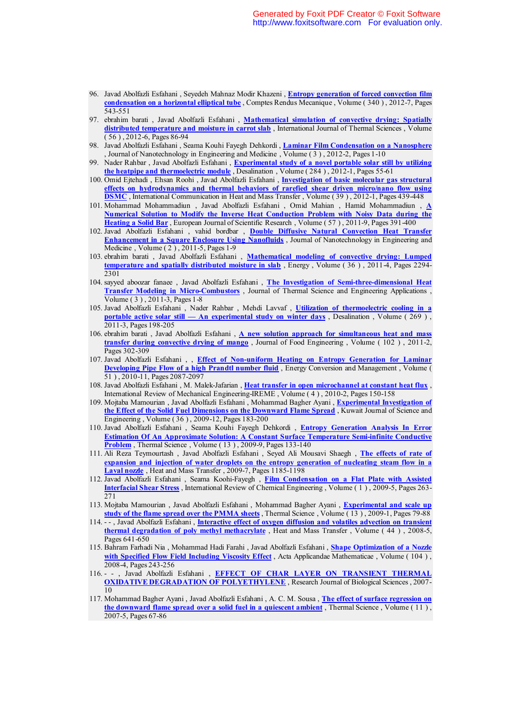- 96. Javad Abolfazli Esfahani , Seyedeh Mahnaz Modir Khazeni , **Entropy generation of forced convection film condensation on a horizontal elliptical tube** , Comptes Rendus Mecanique , Volume ( 340 ) , 2012-7, Pages 543-551
- 97. ebrahim barati , Javad Abolfazli Esfahani , **Mathematical simulation of convective drying: Spatially distributed temperature and moisture in carrot slab** , International Journal of Thermal Sciences , Volume ( 56 ) , 2012-6, Pages 86-94
- 98. Javad Abolfazli Esfahani , Seama Kouhi Fayegh Dehkordi , **Laminar Film Condensation on a Nanosphere** , Journal of Nanotechnology in Engineering and Medicine,  $\overline{Volume(3)}$ , 2012-2, Pages 1-10
- 99. Nader Rahbar , Javad Abolfazli Esfahani , **Experimental study of a novel portable solar still by utilizing the heatpipe and thermoelectric module** , Desalination , Volume ( 284 ) , 2012-1, Pages 55-61
- 100. Omid Ejtehadi , Ehsan Roohi , Javad Abolfazli Esfahani , **Investigation of basic molecular gas structural effects on hydrodynamics and thermal behaviors of rarefied shear driven micro/nano flow using DSMC** , International Communication in Heat and Mass Transfer , Volume ( 39 ) , 2012-1, Pages 439-448
- 101. Mohammad Mohammadiun , Javad Abolfazli Esfahani , Omid Mahian , Hamid Mohammadiun , **A Numerical Solution to Modify the Inverse Heat Conduction Problem with Noisy Data during the Heating a Solid Bar** , European Journal of Scientific Research , Volume ( 57 ) , 2011-9, Pages 391-400
- 102. Javad Abolfazli Esfahani , vahid bordbar , **Double Diffusive Natural Convection Heat Transfer Enhancement in a Square Enclosure Using Nanofluids** , Journal of Nanotechnology in Engineering and Medicine, Volume (2), 2011-5, Pages 1-9
- 103. ebrahim barati , Javad Abolfazli Esfahani , **Mathematical modeling of convective drying: Lumped temperature and spatially distributed moisture in slab** , Energy , Volume ( 36 ) , 2011-4, Pages 2294- 2301
- 104. sayyed aboozar fanaee , Javad Abolfazli Esfahani , **The Investigation of Semi-three-dimensional Heat Transfer Modeling in Micro-Combustors** , Journal of Thermal Science and Engineering Applications , Volume ( 3 ) , 2011-3, Pages 1-8
- 105. Javad Abolfazli Esfahani , Nader Rahbar , Mehdi Lavvaf , **Utilization of thermoelectric cooling in a portable active solar still — An experimental study on winter days** , Desalination , Volume ( 269 ) , 2011-3, Pages 198-205
- 106. ebrahim barati , Javad Abolfazli Esfahani , **A new solution approach for simultaneous heat and mass transfer during convective drying of mango** , Journal of Food Engineering , Volume ( 102 ) , 2011-2, Pages 302-309
- 107. Javad Abolfazli Esfahani , , **Effect of Non-uniform Heating on Entropy Generation for Laminar Developing Pipe Flow of a high Prandtl number fluid**, Energy Conversion and Management, Volume ( 51 ) , 2010-11, Pages 2087-2097
- 108. Javad Abolfazli Esfahani , M. Malek-Jafarian , **Heat transfer in open microchannel at constant heat flux** , International Review of Mechanical Engineering-IREME , Volume ( 4 ) , 2010-2, Pages 150-158
- 109. Mojtaba Mamourian , Javad Abolfazli Esfahani , Mohammad Bagher Ayani , **Experimental Investigation of the Effect of the Solid Fuel Dimensions on the Downward Flame Spread** , Kuwait Journal of Science and Engineering , Volume ( 36 ) , 2009-12, Pages 183-200
- 110. Javad Abolfazli Esfahani , Seama Kouhi Fayegh Dehkordi , **Entropy Generation Analysis In Error Estimation Of An Approximate Solution: A Constant Surface Temperature Semi-infinite Conductive Problem**, Thermal Science, Volume (13), 2009-9, Pages 133-140
- 111. Ali Reza Teymourtash , Javad Abolfazli Esfahani , Seyed Ali Mousavi Shaegh , **The effects of rate of expansion and injection of water droplets on the entropy generation of nucleating steam flow in a Laval nozzle** , Heat and Mass Transfer , 2009-7, Pages 1185-1198
- 112. Javad Abolfazli Esfahani , Seama Koohi-Fayegh , **Film Condensation on a Flat Plate with Assisted Interfacial Shear Stress** , International Review of Chemical Engineering , Volume ( 1 ) , 2009-5, Pages 263- 271
- 113. Mojtaba Mamourian , Javad Abolfazli Esfahani , Mohammad Bagher Ayani , **Experimental and scale up study of the flame spread over the PMMA sheets** , Thermal Science , Volume ( 13 ) , 2009-1, Pages 79-88
- 114. - , Javad Abolfazli Esfahani , **Interactive effect of oxygen diffusion and volatiles advection on transient thermal degradation of poly methyl methacrylate** , Heat and Mass Transfer , Volume ( 44 ) , 2008-5, Pages 641-650
- 115. Bahram Farhadi Nia , Mohammad Hadi Farahi , Javad Abolfazli Esfahani , **Shape Optimization of a Nozzle with Specified Flow Field Including Viscosity Effect** , Acta Applicandae Mathematicae , Volume ( 104 ) , 2008-4, Pages 243-256
- 116. - , Javad Abolfazli Esfahani , **EFFECT OF CHAR LAYER ON TRANSIENT THERMAL OXIDATIVE DEGRADATION OF POLYETHYLENE** , Research Journal of Biological Sciences , 2007- 10
- 117. Mohammad Bagher Ayani , Javad Abolfazli Esfahani , A. C. M. Sousa , **The effect of surface regression on the downward flame spread over a solid fuel in a quiescent ambient** , Thermal Science , Volume ( 11 ) , 2007-5, Pages 67-86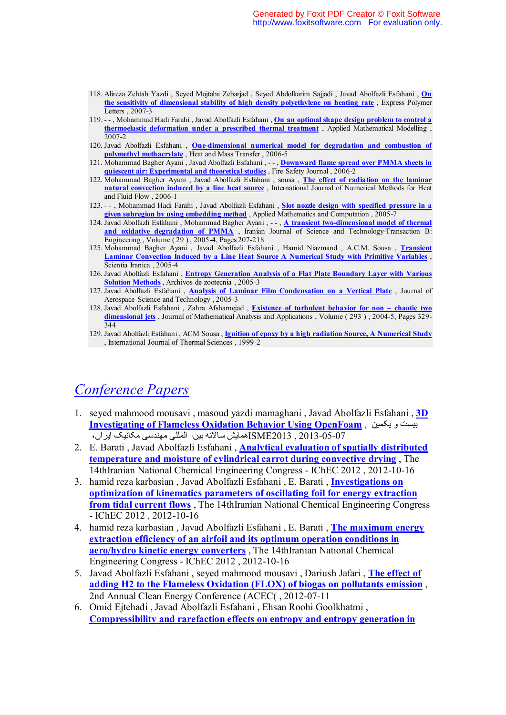- 118. Alireza Zehtab Yazdi , Seyed Mojtaba Zebarjad , Seyed Abdolkarim Sajjadi , Javad Abolfazli Esfahani , **On the sensitivity of dimensional stability of high density polyethylene on heating rate** , Express Polymer Letters , 2007-3
- 119. - , Mohammad Hadi Farahi , Javad Abolfazli Esfahani , **On an optimal shape design problem to control a thermoelastic deformation under a prescribed thermal treatment** , Applied Mathematical Modelling , 2007-2
- 120. Javad Abolfazli Esfahani , **One-dimensional numerical model for degradation and combustion of polymethyl methacrylate** , Heat and Mass Transfer , 2006-5
- 121. Mohammad Bagher Ayani , Javad Abolfazli Esfahani , - , **Downward flame spread over PMMA sheets in quiescent air: Experimental and theoretical studies** , Fire Safety Journal , 2006-2
- 122. Mohammad Bagher Ayani , Javad Abolfazli Esfahani , sousa , **The effect of radiation on the laminar natural convection induced by a line heat source** , International Journal of Numerical Methods for Heat and Fluid Flow , 2006-1
- 123. - , Mohammad Hadi Farahi , Javad Abolfazli Esfahani , **Slot nozzle design with specified pressure in a given subregion by using embedding method** , Applied Mathematics and Computation , 2005-7
- 124. Javad Abolfazli Esfahani , Mohammad Bagher Ayani , - , **A transient two-dimensional model of thermal**  and oxidative degradation of PMMA , Iranian Journal of Science and Technology-Transaction B: Engineering , Volume ( 29 ) , 2005-4, Pages 207-218
- 125. Mohammad Bagher Ayani , Javad Abolfazli Esfahani , Hamid Niazmand , A.C.M. Sousa , **Transient Laminar Convection Induced by a Line Heat Source A Numerical Study with Primitive Variables** , Scientia Iranica , 2005-4
- 126. Javad Abolfazli Esfahani , **Entropy Generation Analysis of a Flat Plate Boundary Layer with Various Solution Methods** , Archivos de zootecnia , 2005-3
- 127. Javad Abolfazli Esfahani , **Analysis of Laminar Film Condensation on a Vertical Plate** , Journal of Aerospace Science and Technology , 2005-3
- 128. Javad Abolfazli Esfahani , Zahra Afsharnejad , **Existence of turbulent behavior for non chaotic two dimensional jets** , Journal of Mathematical Analysis and Applications , Volume ( 293 ) , 2004-5, Pages 329- 344
- 129. Javad Abolfazli Esfahani , ACM Sousa , **Ignition of epoxy by a high radiation Source, A Numerical Study** , International Journal of Thermal Sciences , 1999-2

# *Conference Papers*

- 1. seyed mahmood mousavi , masoud yazdi mamaghani , Javad Abolfazli Esfahani , **3D Investigating of Flameless Oxidation Behavior Using OpenFoam** , یکمین و بیست 2013-05-07 , 2013ISME المللی مهندسی مکانیک ایران، ¬همایش سالانه بین
- 2. E. Barati , Javad Abolfazli Esfahani , **Analytical evaluation of spatially distributed temperature and moisture of cylindrical carrot during convective drying** , The 14thIranian National Chemical Engineering Congress - IChEC 2012 , 2012-10-16
- 3. hamid reza karbasian , Javad Abolfazli Esfahani , E. Barati , **Investigations on optimization of kinematics parameters of oscillating foil for energy extraction from tidal current flows** , The 14thIranian National Chemical Engineering Congress - IChEC 2012 , 2012-10-16
- 4. hamid reza karbasian , Javad Abolfazli Esfahani , E. Barati , **The maximum energy extraction efficiency of an airfoil and its optimum operation conditions in aero/hydro kinetic energy converters** , The 14thIranian National Chemical Engineering Congress - IChEC 2012 , 2012-10-16
- 5. Javad Abolfazli Esfahani , seyed mahmood mousavi , Dariush Jafari , **The effect of adding H2 to the Flameless Oxidation (FLOX) of biogas on pollutants emission** , 2nd Annual Clean Energy Conference (ACEC( , 2012-07-11
- 6. Omid Ejtehadi , Javad Abolfazli Esfahani , Ehsan Roohi Goolkhatmi , **Compressibility and rarefaction effects on entropy and entropy generation in**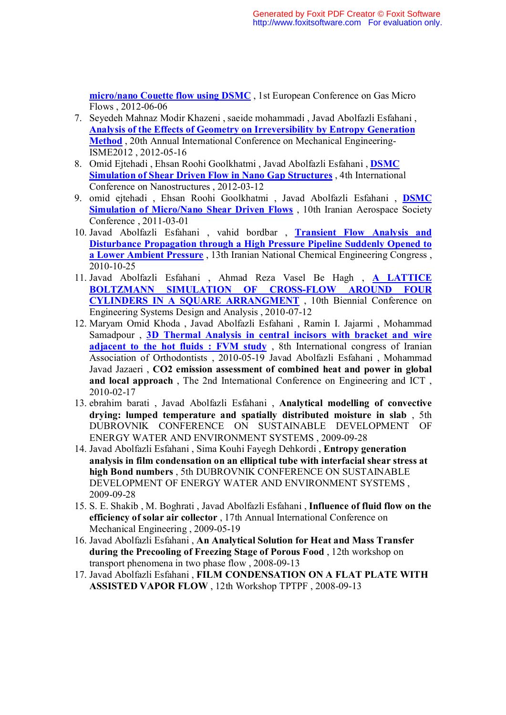**micro/nano Couette flow using DSMC** , 1st European Conference on Gas Micro Flows , 2012-06-06

- 7. Seyedeh Mahnaz Modir Khazeni , saeide mohammadi , Javad Abolfazli Esfahani , **Analysis of the Effects of Geometry on Irreversibility by Entropy Generation Method** , 20th Annual International Conference on Mechanical Engineering-ISME2012 , 2012-05-16
- 8. Omid Ejtehadi , Ehsan Roohi Goolkhatmi , Javad Abolfazli Esfahani , **DSMC Simulation of Shear Driven Flow in Nano Gap Structures** , 4th International Conference on Nanostructures , 2012-03-12
- 9. omid ejtehadi , Ehsan Roohi Goolkhatmi , Javad Abolfazli Esfahani , **DSMC Simulation of Micro/Nano Shear Driven Flows**, 10th Iranian Aerospace Society Conference , 2011-03-01
- 10. Javad Abolfazli Esfahani , vahid bordbar , **Transient Flow Analysis and Disturbance Propagation through a High Pressure Pipeline Suddenly Opened to a Lower Ambient Pressure** , 13th Iranian National Chemical Engineering Congress , 2010-10-25
- 11. Javad Abolfazli Esfahani , Ahmad Reza Vasel Be Hagh , **A LATTICE BOLTZMANN SIMULATION OF CROSS-FLOW AROUND FOUR CYLINDERS IN A SQUARE ARRANGMENT** , 10th Biennial Conference on Engineering Systems Design and Analysis , 2010-07-12
- 12. Maryam Omid Khoda , Javad Abolfazli Esfahani , Ramin I. Jajarmi , Mohammad Samadpour , **3D Thermal Analysis in central incisors with bracket and wire adjacent to the hot fluids : FVM study** , 8th International congress of Iranian Association of Orthodontists , 2010-05-19 Javad Abolfazli Esfahani , Mohammad Javad Jazaeri , **CO2 emission assessment of combined heat and power in global and local approach** , The 2nd International Conference on Engineering and ICT , 2010-02-17
- 13. ebrahim barati , Javad Abolfazli Esfahani , **Analytical modelling of convective drying: lumped temperature and spatially distributed moisture in slab** , 5th DUBROVNIK CONFERENCE ON SUSTAINABLE DEVELOPMENT OF ENERGY WATER AND ENVIRONMENT SYSTEMS , 2009-09-28
- 14. Javad Abolfazli Esfahani , Sima Kouhi Fayegh Dehkordi , **Entropy generation analysis in film condensation on an elliptical tube with interfacial shear stress at high Bond numbers** , 5th DUBROVNIK CONFERENCE ON SUSTAINABLE DEVELOPMENT OF ENERGY WATER AND ENVIRONMENT SYSTEMS , 2009-09-28
- 15. S. E. Shakib , M. Boghrati , Javad Abolfazli Esfahani , **Influence of fluid flow on the efficiency of solar air collector** , 17th Annual International Conference on Mechanical Engineering , 2009-05-19
- 16. Javad Abolfazli Esfahani , **An Analytical Solution for Heat and Mass Transfer during the Precooling of Freezing Stage of Porous Food** , 12th workshop on transport phenomena in two phase flow , 2008-09-13
- 17. Javad Abolfazli Esfahani , **FILM CONDENSATION ON A FLAT PLATE WITH ASSISTED VAPOR FLOW** , 12th Workshop TPTPF , 2008-09-13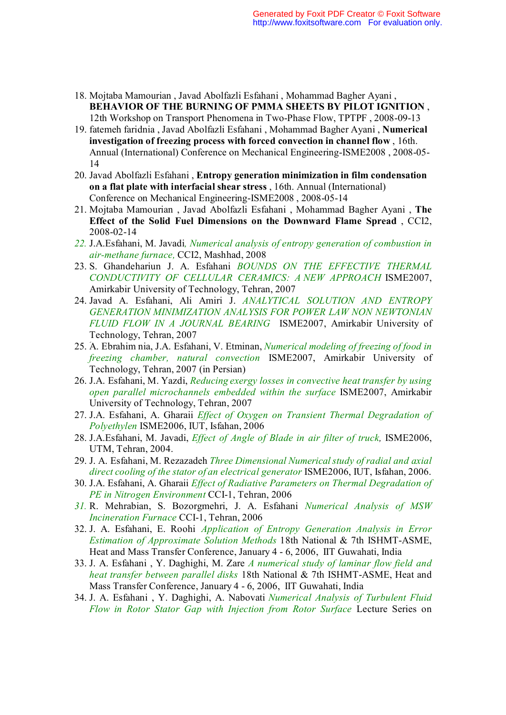- 18. Mojtaba Mamourian , Javad Abolfazli Esfahani , Mohammad Bagher Ayani , **BEHAVIOR OF THE BURNING OF PMMA SHEETS BY PILOT IGNITION** , 12th Workshop on Transport Phenomena in Two-Phase Flow, TPTPF , 2008-09-13
- 19. fatemeh faridnia , Javad Abolfazli Esfahani , Mohammad Bagher Ayani , **Numerical investigation of freezing process with forced convection in channel flow** , 16th. Annual (International) Conference on Mechanical Engineering-ISME2008 , 2008-05- 14
- 20. Javad Abolfazli Esfahani , **Entropy generation minimization in film condensation on a flat plate with interfacial shear stress** , 16th. Annual (International) Conference on Mechanical Engineering-ISME2008 , 2008-05-14
- 21. Mojtaba Mamourian , Javad Abolfazli Esfahani , Mohammad Bagher Ayani , **The Effect of the Solid Fuel Dimensions on the Downward Flame Spread** , CCI2, 2008-02-14
- *22.* J.A.Esfahani, M. Javadi*, Numerical analysis of entropy generation of combustion in air-methane furnace,* CCI2, Mashhad, 2008
- 23. S. Ghandehariun J. A. Esfahani *BOUNDS ON THE EFFECTIVE THERMAL CONDUCTIVITY OF CELLULAR CERAMICS: A NEW APPROACH* ISME2007, Amirkabir University of Technology, Tehran, 2007
- 24. Javad A. Esfahani, Ali Amiri J. *ANALYTICAL SOLUTION AND ENTROPY GENERATION MINIMIZATION ANALYSIS FOR POWER LAW NON NEWTONIAN FLUID FLOW IN A JOURNAL BEARING* ISME2007, Amirkabir University of Technology, Tehran, 2007
- 25. َA. Ebrahim nia, J.A. Esfahani, V. Etminan, *Numerical modeling of freezing of food in freezing chamber, natural convection* ISME2007, Amirkabir University of Technology, Tehran, 2007 (in Persian)
- 26. J.A. Esfahani, M. Yazdi, *Reducing exergy losses in convective heat transfer by using open parallel microchannels embedded within the surface* ISME2007, Amirkabir University of Technology, Tehran, 2007
- 27. J.A. Esfahani, A. Gharaii *Effect of Oxygen on Transient Thermal Degradation of Polyethylen* ISME2006, IUT, Isfahan, 2006
- 28. J.A.Esfahani, M. Javadi, *Effect of Angle of Blade in air filter of truck,* ISME2006, UTM, Tehran, 2004.
- 29. J. A. Esfahani, M. Rezazadeh *Three Dimensional Numerical study of radial and axial direct cooling of the stator of an electrical generator* ISME2006, IUT, Isfahan, 2006.
- 30. J.A. Esfahani, A. Gharaii *Effect of Radiative Parameters on Thermal Degradation of PE in Nitrogen Environment* CCI-1, Tehran, 2006
- *31.* R. Mehrabian, S. Bozorgmehri, J. A. Esfahani *Numerical Analysis of MSW Incineration Furnace* CCI-1, Tehran, 2006
- 32. J. A. Esfahani, E. Roohi *Application of Entropy Generation Analysis in Error Estimation of Approximate Solution Methods* 18th National & 7th ISHMT-ASME, Heat and Mass Transfer Conference, January 4 - 6, 2006, IIT Guwahati, India
- 33. J. A. Esfahani , Y. Daghighi, M. Zare *A numerical study of laminar flow field and heat transfer between parallel disks* 18th National & 7th ISHMT-ASME, Heat and Mass Transfer Conference, January 4 - 6, 2006, IIT Guwahati, India
- 34. J. A. Esfahani , Y. Daghighi, A. Nabovati *Numerical Analysis of Turbulent Fluid Flow in Rotor Stator Gap with Injection from Rotor Surface* Lecture Series on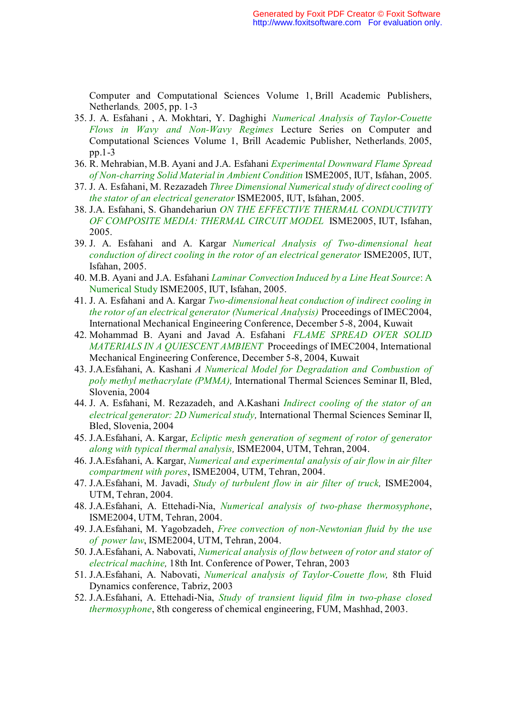Computer and Computational Sciences Volume 1, Brill Academic Publishers, Netherlands, 2005, pp. 1-3

- 35. J. A. Esfahani , A. Mokhtari, Y. Daghighi *Numerical Analysis of Taylor-Couette Flows in Wavy and Non-Wavy Regimes* Lecture Series on Computer and Computational Sciences Volume 1, Brill Academic Publisher, Netherlands, 2005, pp.1-3
- 36. R. Mehrabian, M.B. Ayani and J.A. Esfahani *Experimental Downward Flame Spread of Non-charring Solid Material in Ambient Condition* ISME2005, IUT, Isfahan, 2005.
- 37. J. A. Esfahani, M. Rezazadeh *Three Dimensional Numerical study of direct cooling of the stator of an electrical generator* ISME2005, IUT, Isfahan, 2005.
- 38. J.A. Esfahani, S. Ghandehariun *ON THE EFFECTIVE THERMAL CONDUCTIVITY OF COMPOSITE MEDIA: THERMAL CIRCUIT MODEL* ISME2005, IUT, Isfahan, 2005.
- 39. J. A. Esfahani and A. Kargar *Numerical Analysis of Two-dimensional heat conduction of direct cooling in the rotor of an electrical generator* ISME2005, IUT, Isfahan, 2005.
- 40. M.B. Ayani and J.A. Esfahani *Laminar Convection Induced by a Line Heat Source*: A Numerical Study ISME2005, IUT, Isfahan, 2005.
- 41. J. A. Esfahani and A. Kargar *Two-dimensional heat conduction of indirect cooling in the rotor of an electrical generator (Numerical Analysis)* Proceedings of IMEC2004, International Mechanical Engineering Conference, December 5-8, 2004, Kuwait
- 42. Mohammad B. Ayani and Javad A. Esfahani *FLAME SPREAD OVER SOLID MATERIALS IN A QUIESCENT AMBIENT* Proceedings of IMEC2004, International Mechanical Engineering Conference, December 5-8, 2004, Kuwait
- 43. J.A.Esfahani, A. Kashani *A Numerical Model for Degradation and Combustion of poly methyl methacrylate (PMMA),* International Thermal Sciences Seminar II, Bled, Slovenia, 2004
- 44. J. A. Esfahani, M. Rezazadeh, and A.Kashani *Indirect cooling of the stator of an electrical generator: 2D Numerical study,* International Thermal Sciences Seminar II, Bled, Slovenia, 2004
- 45. J.A.Esfahani, A. Kargar, *Ecliptic mesh generation of segment of rotor of generator along with typical thermal analysis,* ISME2004, UTM, Tehran, 2004.
- 46. J.A.Esfahani, A. Kargar, *Numerical and experimental analysis of air flow in air filter compartment with pores*, ISME2004, UTM, Tehran, 2004.
- 47. J.A.Esfahani, M. Javadi, *Study of turbulent flow in air filter of truck,* ISME2004, UTM, Tehran, 2004.
- 48. J.A.Esfahani, A. Ettehadi-Nia, *Numerical analysis of two-phase thermosyphone*, ISME2004, UTM, Tehran, 2004.
- 49. J.A.Esfahani, M. Yagobzadeh, *Free convection of non-Newtonian fluid by the use of power law*, ISME2004, UTM, Tehran, 2004.
- 50. J.A.Esfahani, A. Nabovati, *Numerical analysis of flow between of rotor and stator of electrical machine,* 18th Int. Conference of Power, Tehran, 2003
- 51. J.A.Esfahani, A. Nabovati, *Numerical analysis of Taylor-Couette flow,* 8th Fluid Dynamics conference, Tabriz, 2003
- 52. J.A.Esfahani, A. Ettehadi-Nia, *Study of transient liquid film in two-phase closed thermosyphone*, 8th congeress of chemical engineering, FUM, Mashhad, 2003.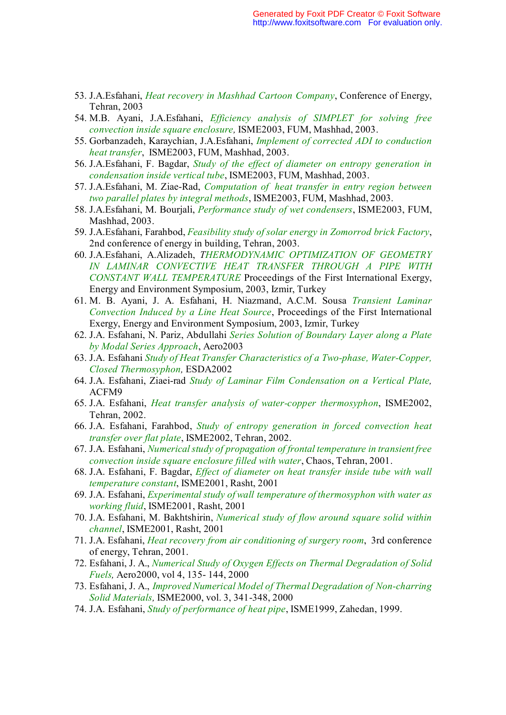- 53. J.A.Esfahani, *Heat recovery in Mashhad Cartoon Company*, Conference of Energy, Tehran, 2003
- 54. M.B. Ayani, J.A.Esfahani, *Efficiency analysis of SIMPLET for solving free convection inside square enclosure,* ISME2003, FUM, Mashhad, 2003.
- 55. Gorbanzadeh, Karaychian, J.A.Esfahani, *Implement of corrected ADI to conduction heat transfer*, ISME2003, FUM, Mashhad, 2003.
- 56. J.A.Esfahani, F. Bagdar, *Study of the effect of diameter on entropy generation in condensation inside vertical tube*, ISME2003, FUM, Mashhad, 2003.
- 57. J.A.Esfahani, M. Ziae-Rad, *Computation of heat transfer in entry region between two parallel plates by integral methods*, ISME2003, FUM, Mashhad, 2003.
- 58. J.A.Esfahani, M. Bourjali, *Performance study of wet condensers*, ISME2003, FUM, Mashhad, 2003.
- 59. J.A.Esfahani, Farahbod, *Feasibility study of solar energy in Zomorrod brick Factory*, 2nd conference of energy in building, Tehran, 2003.
- 60. J.A.Esfahani, A.Alizadeh, *THERMODYNAMIC OPTIMIZATION OF GEOMETRY IN LAMINAR CONVECTIVE HEAT TRANSFER THROUGH A PIPE WITH CONSTANT WALL TEMPERATURE* Proceedings of the First International Exergy, Energy and Environment Symposium, 2003, Izmir, Turkey
- 61. M. B. Ayani, J. A. Esfahani, H. Niazmand, A.C.M. Sousa *Transient Laminar Convection Induced by a Line Heat Source*, Proceedings of the First International Exergy, Energy and Environment Symposium, 2003, Izmir, Turkey
- 62. J.A. Esfahani, N. Pariz, Abdullahi *Series Solution of Boundary Layer along a Plate by Modal Series Approach*, Aero2003
- 63. J.A. Esfahani *Study of Heat Transfer Characteristics of a Two-phase, Water-Copper, Closed Thermosyphon,* ESDA2002
- 64. J.A. Esfahani, Ziaei-rad *Study of Laminar Film Condensation on a Vertical Plate,* ACFM9
- 65. J.A. Esfahani, *Heat transfer analysis of water-copper thermosyphon*, ISME2002, Tehran, 2002.
- 66. J.A. Esfahani, Farahbod, *Study of entropy generation in forced convection heat transfer over flat plate*, ISME2002, Tehran, 2002.
- 67. J.A. Esfahani, *Numerical study of propagation of frontal temperature in transient free convection inside square enclosure filled with water*, Chaos, Tehran, 2001.
- 68. J.A. Esfahani, F. Bagdar, *Effect of diameter on heat transfer inside tube with wall temperature constant*, ISME2001, Rasht, 2001
- 69. J.A. Esfahani, *Experimental study of wall temperature of thermosyphon with water as working fluid*, ISME2001, Rasht, 2001
- 70. J.A. Esfahani, M. Bakhtshirin, *Numerical study of flow around square solid within channel*, ISME2001, Rasht, 2001
- 71. J.A. Esfahani, *Heat recovery from air conditioning of surgery room*, 3rd conference of energy, Tehran, 2001.
- 72. Esfahani, J. A., *Numerical Study of Oxygen Effects on Thermal Degradation of Solid Fuels,* Aero2000, vol 4, 135- 144, 2000
- 73. Esfahani, J. A., *Improved Numerical Model of Thermal Degradation of Non-charring Solid Materials,* ISME2000, vol. 3, 341-348, 2000
- 74. J.A. Esfahani, *Study of performance of heat pipe*, ISME1999, Zahedan, 1999.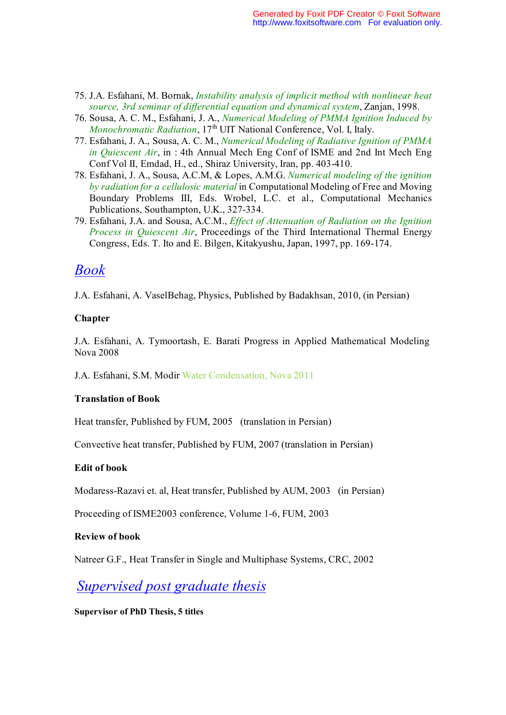- 75. J.A. Esfahani, M. Bornak, *Instability analysis of implicit method with nonlinear heat source, 3rd seminar of differential equation and dynamical system*, Zanjan, 1998.
- 76. Sousa, A. C. M., Esfahani, J. A., *Numerical Modeling of PMMA Ignition Induced by Monochromatic Radiation*, 17<sup>th</sup> UIT National Conference, Vol. I, Italy.
- 77. Esfahani, J. A., Sousa, A. C. M., *Numerical Modeling of Radiative Ignition of PMMA in Quiescent Air*, in : 4th Annual Mech Eng Conf of ISME and 2nd Int Mech Eng Conf Vol II, Emdad, H., ed., Shiraz University, Iran, pp. 403-410.
- 78. Esfahani, J. A., Sousa, A.C.M, & Lopes, A.M.G. *Numerical modeling of the ignition by radiation for a cellulosic material* in Computational Modeling of Free and Moving Boundary Problems III, Eds. Wrobel, L.C. et al., Computational Mechanics Publications, Southampton, U.K., 327-334.
- 79. Esfahani, J.A. and Sousa, A.C.M., *Effect of Attenuation of Radiation on the Ignition Process in Quiescent Air*, Proceedings of the Third International Thermal Energy Congress, Eds. T. Ito and E. Bilgen, Kitakyushu, Japan, 1997, pp. 169-174.

# *Book*

J.A. Esfahani, A. VaselBehag, Physics, Published by Badakhsan, 2010, (in Persian)

### **Chapter**

J.A. Esfahani, A. Tymoortash, E. Barati Progress in Applied Mathematical Modeling Nova 2008

J.A. Esfahani, S.M. Modir Water Condensation, Nova 2011

### **Translation of Book**

Heat transfer, Published by FUM, 2005 (translation in Persian)

Convective heat transfer, Published by FUM, 2007 (translation in Persian)

### **Edit of book**

Modaress-Razavi et. al, Heat transfer, Published by AUM, 2003 (in Persian)

Proceeding of ISME2003 conference, Volume 1-6, FUM, 2003

### **Review of book**

Natreer G.F., Heat Transfer in Single and Multiphase Systems, CRC, 2002

# *Supervised post graduate thesis*

### **Supervisor of PhD Thesis, 5 titles**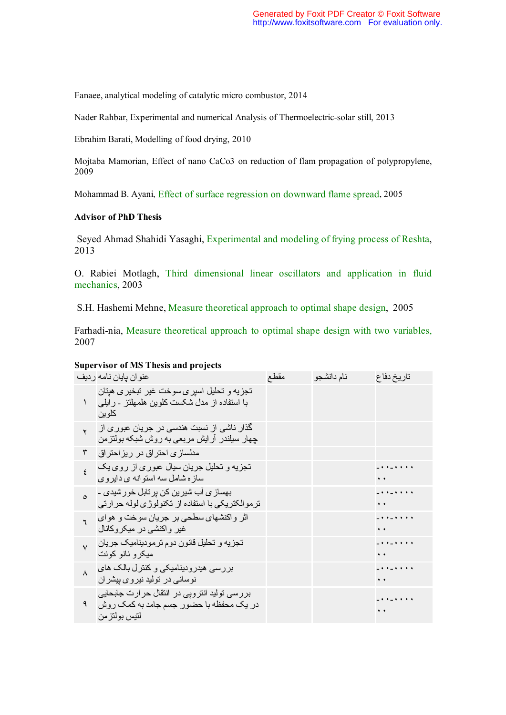Fanaee, analytical modeling of catalytic micro combustor, 2014

Nader Rahbar, Experimental and numerical Analysis of Thermoelectric-solar still, 2013

Ebrahim Barati, Modelling of food drying, 2010

Mojtaba Mamorian, Effect of nano CaCo3 on reduction of flam propagation of polypropylene, 2009

Mohammad B. Ayani, Effect of surface regression on downward flame spread, 2005

#### **Advisor of PhD Thesis**

 Seyed Ahmad Shahidi Yasaghi, Experimental and modeling of frying process of Reshta, 2013

O. Rabiei Motlagh, Third dimensional linear oscillators and application in fluid mechanics, 2003

S.H. Hashemi Mehne, Measure theoretical approach to optimal shape design, 2005

Farhadi-nia, Measure theoretical approach to optimal shape design with two variables, 2007

#### **Supervisor of MS Thesis and projects**

|              | عنو ان بايان نامه ر ديف                                                                                | مقطع | نام دانشجو | تاريخ دفاع                                  |
|--------------|--------------------------------------------------------------------------------------------------------|------|------------|---------------------------------------------|
| ١            | تجزیه و تحلیل اسیر ی سوخت غیر تبخیر ی هیتان<br>با استفاده از مدل شکست کلوین هلمهلتز - رایلی<br>کلو بن  |      |            |                                             |
| $\mathbf{r}$ | گذار ناشی از نسبت هندسی در جریان عبور ی از  <br>چهار سیلندر ارایش مربعی به روش شبکه بولتزمن            |      |            |                                             |
| ٣            | مدلسازی احتراق در ریزاحتراق                                                                            |      |            |                                             |
| $\zeta$      | تجزیه و تحلیل جریان سیال عبوری از روی یک<br>ساز ه شامل سه استوانه ی دایروی                             |      |            | $-$ + + $-$ + + + +<br>$\ddot{\phantom{1}}$ |
| $\circ$      | بھساز ی آب شیرین کن بر تابل خور شیدی ۔<br>ترموالکتریکی با استفاده از تکنولوژی لوله حرارتی              |      |            | $-$ + + $-$ + + + +<br>$\ddot{\phantom{a}}$ |
|              | اثر واکنشهای سطحی بر جریان سوخت و هوای<br>غیر واکنشی در میکروکانال                                     |      |            | $\ddot{\phantom{a}}$                        |
| $\vee$       | تجزیه و تحلیل قانون دوم ترمودینامیک جریان<br>میکر و نانو کوئت                                          |      |            | $\ddot{\phantom{a}}$                        |
| $\lambda$    | بررسی هیدرودینامیکی و کنترل بالک های<br>نوسانی در تولید نیروی بیشر ان                                  |      |            | $\ddot{\phantom{1}}$                        |
| ٩            | بررسی نولید انترویی در انتقال حرارت جابحایی<br>در یک محفظه با حضور جسم جامد به کمک روش<br>لتيس بولتزمن |      |            |                                             |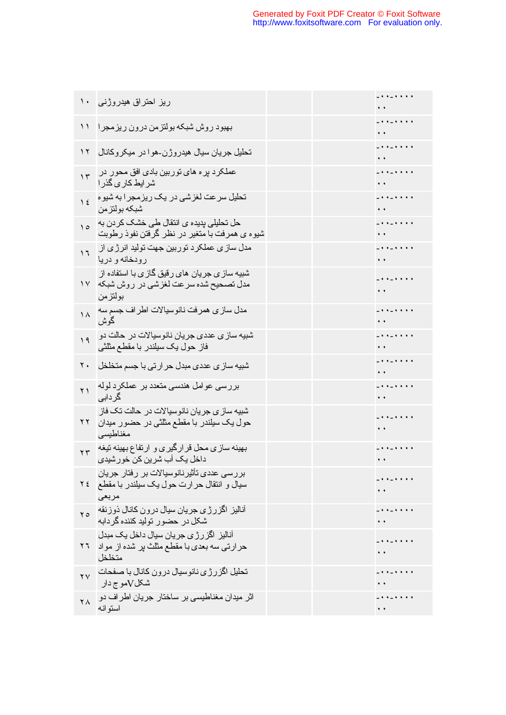|                     | ریز احتراق هیدروژنی ۱۰                                                                                               |  |                                             |
|---------------------|----------------------------------------------------------------------------------------------------------------------|--|---------------------------------------------|
| $\setminus$         | بهبود روش شبكه بولتزمن درون ريزمجرا                                                                                  |  | $-$ + + $-$ + + + +<br>$\ddot{\phantom{1}}$ |
| $\gamma$            | تحلیل جریان سیال هیدروژن-هوا در میکروکانال                                                                           |  | $-$ + + $-$ + + + +<br>$\ddot{\phantom{1}}$ |
| $\gamma$            | عملکرد بر ه های توربین بادی افق محور در<br>شر ایط کار ی گذر ا                                                        |  | $\ddot{\phantom{1}}$                        |
| $\frac{1}{2}$       | تحلیل سرعت لغزشی در یک ریزمجر ا به شیوه<br>شبكه بولتزمن                                                              |  | $\ddot{\phantom{1}}$                        |
| $\Delta$            | حل تحلیلی بدیده ی انتقال طی خشک کر دن به<br>شیوه ی همرفت با متغیر در نظر گرفتن نفوذ رطوبت                            |  | $\ddot{\phantom{1}}$                        |
| $\eta$              | مدل ساز ی عملکر د توربین جهت تولید انرژ ی از  <br>رودخانه و دریا                                                     |  | $\ddot{\phantom{1}}$                        |
|                     | شبیه ساز <i>ی</i> جر یان های رقیق گاز ی با استفاده از<br>مدل تصحیح شده سرعت لغزشی در روش شبکه ۲۷<br>بو لتز من        |  | $-$ + + $-$ + + + +<br>$\ddot{\phantom{1}}$ |
| $\lambda$           | مدل ساز ي همرفت نانوسيالات اطراف جسم سه<br>گو ش                                                                      |  | $\ddot{\phantom{1}}$                        |
| 19                  | شبيه سا <i>ز ي</i> عددي جريان نانوسيالات در حالت دو ا<br>فاز حول یک سیلندر با مقطع مثلثی                             |  | $\ddot{\phantom{1}}$                        |
| ۲.                  | شبیه ساز ی عددی مبدل حر ارتی با جسم متخلخل                                                                           |  | $\ddot{\phantom{1}}$                        |
| $\gamma$            | بررسی عوامل هندسی متعدد بر عملکرد لوله<br>گر داہے                                                                    |  | $\ddot{\phantom{1}}$                        |
| ۲۲                  | شبیه ساز ی جریان نانوسیالات در حالت تک فاز<br>حول یک سیلندر با مقطع مثلثی در حضور میدان<br>مغناطبسى                  |  | $-$ + + $-$ + + + +<br>$\ddot{\phantom{1}}$ |
| $\mathbf{r}$        | بهینه سازی محل قرارگیری و ارتفاع بهینه تیغه<br>داخل یک آب شرین کن خورشیدی                                            |  | $-$ + + $-$ + + + +<br>$\ddot{\phantom{1}}$ |
|                     | ِ بِرِ رِ سِي عددي تأثير نانوسيالات بر ِ رِ فتار ِ جِرِ يان<br>سیال و انتقال حرارت حول یک سیلندر با مقطع ۲۶<br>مربعى |  |                                             |
| $\mathbf{y}$        | أناليز اگزرژي جريان سيال درون كانال ذوزنقه<br>شکل در حضور تولید کننده گر دابه                                        |  |                                             |
|                     | آنالیز اگز رژی جریان سیال داخل یک مبدل<br>حرارتی سه بعدی با مقطع مثلث بر شده از مواد ۲۶<br>متخلخل                    |  |                                             |
|                     | تحلیل اگزرژی نانوسیال درون کانال با صفحات ۲۷<br>شکلVمو ج دار                                                         |  |                                             |
| $\mathsf{Y} \wedge$ | اثر میدان مغناطیسی بر ساختار جریان اطراف دو<br>استو انه                                                              |  | . <u>.</u><br>$\ddot{\phantom{1}}$          |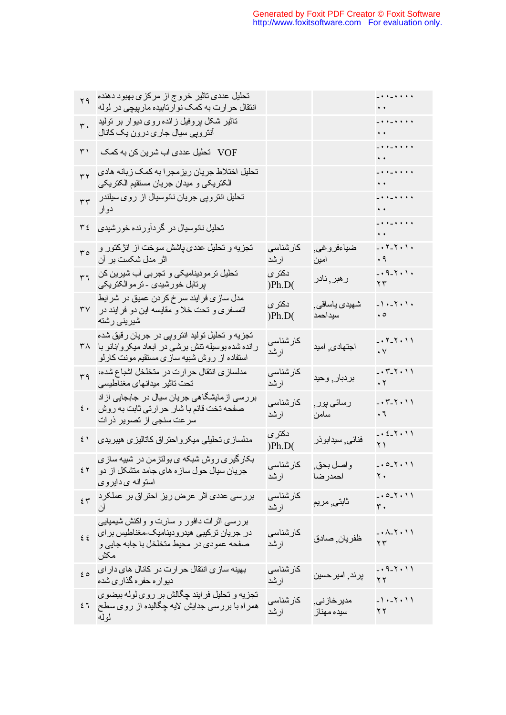| ۲۹                    | تحلیل عددی تاثیر خروج از مرکزی بهبود دهنده<br>انتقال حر ارت به کمک نو ارتابیده مارپیچی در لوله                                                       |                   |                                   | $\frac{1}{2}$<br>$\mathbf{G}(\mathbf{r})$ and $\mathbf{G}(\mathbf{r})$                           |
|-----------------------|------------------------------------------------------------------------------------------------------------------------------------------------------|-------------------|-----------------------------------|--------------------------------------------------------------------------------------------------|
| $\mathbf{r}$ .        | تاثیر شکل بروفیل زائده روی دیوار بر تولید<br>آنتر وپی سیال جار <i>ی</i> درون یک کانال                                                                |                   |                                   | $\pm$ k $\pm$ k k k k<br>$\mathbf{G}(\mathbf{X})$ and $\mathbf{G}(\mathbf{X})$                   |
| ۳۱                    | VOF تحليل عددي آب شرين كن به كمك                                                                                                                     |                   |                                   | $\pm$ + + $\pm$ + + + +<br>$\mathbf{G}(\mathbf{r})$ and $\mathbf{G}(\mathbf{r})$                 |
| $\overline{\tau}$     | تحلیل اختلاط جریان ریزمجر ا به کمک زبانه هادی<br>الكتريكي و ميدان جريان مستقيم الكتريكي                                                              |                   |                                   | $\pm$ + + $\pm$ + + + +<br>$\bullet$ $\bullet$ $\bullet$ $\bullet$ $\bullet$ $\bullet$ $\bullet$ |
| $\tau\tau$            | تحلیل انتروپی جریان نانوسیال از روی سیلندر<br>دو ار                                                                                                  |                   |                                   | $\pm$ + + $\pm$ + + + +<br>$\mathbf{r} \in \mathbb{R}^{n \times n}$                              |
| ع ۳                   | تحلیل نانوسیال در گردآورنده خورشیدی                                                                                                                  |                   |                                   | $\frac{1}{2}$<br>$\mathbf{G}(\mathbf{A})$ and                                                    |
| $r \circ$             | نجزیه و نحلیل عددی پاشش سوخت از انژکتور و<br>اثر مدل شکست بر آن                                                                                      | كار شناسى<br>ارشد | ضياءفروغي,<br>امين                | $-0.7 - 7.9$<br>$\cdot$ ٩                                                                        |
| ٣٦                    | تحلیل تر مودینامیکی و تجربی أب شیرین کن<br>پرتابل خورشیدی ـ ترموالکتریکی                                                                             | دکتر ی<br>) Ph.D( | ر هبر <sub>,</sub> نادر           | $-0.9 - 1.1$<br>$\gamma$ $\tau$                                                                  |
| ٣٧                    | مدل ساز ی فر ایند سر خ کر دن عمیق در شر ایط<br>اتمسفری و تحت خلا و مقایسه این دو فر ایند در<br>شيريني رشته                                           | دکتری<br>) Ph.D(  | شهید <i>ی</i> یاساقی ٖ<br>سيداحمد | $-1$ $-7$ $+1$ $+$<br>$\cdot \circ$                                                              |
|                       | تجزیه و تحلیل تولید انتروپی در جریان رقیق شده<br>ر انده شده بوسیله نتش برشی در ابعاد میکرو/نانو با ۳۸<br>استفاده از روش شبیه ساز ی مستقیم مونت کارلو | کارشناسی<br>ارشد  | اجتهادي اميد                      | $-0.7 - 7.91$<br>$\cdot$ $\vee$                                                                  |
| ٣٩                    | مدلسازی انتقال حر ارت در متخلخل اشباع شده،<br>تحت تاثير ميدانهاي مغناطيسي                                                                            | كار شناسى<br>ارشد | بردبار, وحيد                      | $-0.7 - 7.01$<br>$\boldsymbol{\cdot}$ $\boldsymbol{\upgamma}$                                    |
| $\epsilon$ .          | بررسی آزمایشگاهی جریان سیال در جابجایی آز اد<br>صفحه تخت قائم با شار حر ارتى ثابت به روش<br>سر عت سنجي از تصوير ذرات                                 | كارشناسى<br>ارشد  | رسائی پور ٖ<br>سامن               | $-0.7 - 7.01$<br>$\cdot$ 7                                                                       |
| ٤١                    | مدلساز ی تحلیلی میکر و احتر اق کاتالیز ی هیبریدی                                                                                                     | دکتر ی<br>) Ph.D( | فنائي, سيدابوذر                   | $-0.5 - 7.01$<br>$Y$ $\uparrow$                                                                  |
|                       | بکارگیری روش شبکه ی بولتزمن در شبیه سازی<br>جریان سیال حول سازه های جامد متشکل از دو ٤٢<br>استوانه ی دایروی                                          | كارشناسى<br>ارشد  | واصل بحق,<br>احمدر ضا             | $-.0 - 1.1$<br>$\mathbf{y}$ .                                                                    |
| 55                    | بررسی عددی اثر عرض ریز احتراق بر عملکرد<br>ان                                                                                                        | كار شناسى<br>ارشد | ثابتي مريم                        | $-.0 - 7.11$<br>$\mathsf{r}\cdot$                                                                |
| $\epsilon$ $\epsilon$ | بررسی اثرات دافور و سارت و واکنش شیمیایی<br>در جریان ترکیبی هیدرودینامیک مغناطیس بر ای<br>صفحه عمودي در محيط متخلخل با جابه جايي و<br>مكش            | كارشناسى<br>ارشد  | ظفريان ٖصادق                      | $-. \lambda$ - $\Upsilon$ $\cdot$ $\Upsilon$<br>$\mathbf{y}$                                     |
| $\epsilon$ 0          | بهینه ساز ی انتقال حر ارت در کانال های دار ای<br>دیو ار ه حفر ه گذار ی شده                                                                           | كارشناسى<br>ارشد  | پرند, امیر حسین                   | $-0.9 - 1.11$<br>$\gamma$ $\gamma$                                                               |
| ٤٦                    | تجزیه و تحلیل فرایند چگالش بر روی لوله بیضوی<br>همر اه با برر سی جدایش لایه چگالیده از روی سطح<br>لوله                                               | كارشناسى<br>ارشد  | مدیر خاز نی ِ<br>سيده مهناز       | $-1. - 7. 11$<br>$\gamma \gamma$                                                                 |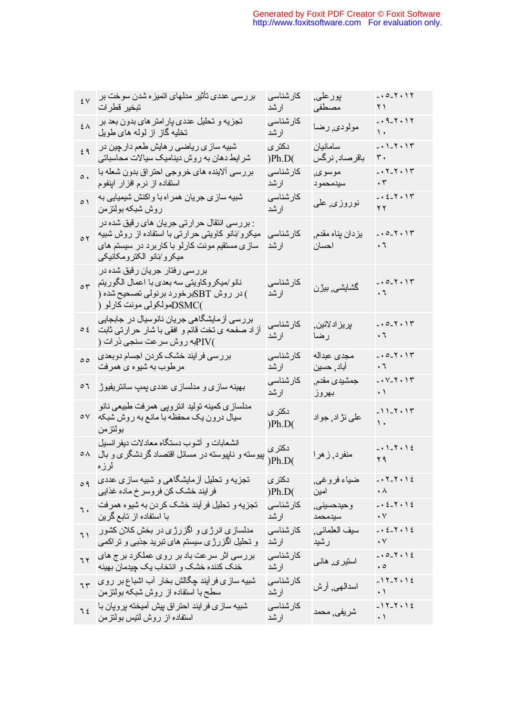| ٤V                             | بررسی عددی تأثیر مدلهای اتمیز ه شدن سوخت بر<br>تبخير قطرات                                                                                                                            | كارشناسى<br>ارشد   | بورعلي,<br>مصطفى                      | $-.0 - 1.1$<br>$Y$ )                                                |
|--------------------------------|---------------------------------------------------------------------------------------------------------------------------------------------------------------------------------------|--------------------|---------------------------------------|---------------------------------------------------------------------|
| $\overline{\epsilon}$ $\wedge$ | تجزیه و تحلیل عددی پار امتر های بدون بعد بر<br>تخلیه گاز از لوله های طویل                                                                                                             | كارشناسى<br>ارشد   | مولودي رضا                            | $-0.9 - 1.1$<br>$\backslash$ .                                      |
| ٤٩                             | شبیه ساز ی ریاضی ر هایش طعم دار چین در<br>شر ایط دهان به روش دینامیک سیالات محاسباتی                                                                                                  | دکتر ی<br>) Ph.D(  | سامانيان<br>باقرصاد <sub>,</sub> نرگس | $- \cdot 1 - 1 \cdot 11$<br>$\mathfrak{r}$ .                        |
| $\circ$ .                      | بررسی الابنده های خروجی احتراق بدون شعله با<br>استفاده از نرم افزار ابنفوم                                                                                                            | كار شناسى<br>ارشد  | موسوى,<br>سيدمحمود                    | $-0.7 - 7.9.17$<br>$\cdot$ $\mathsf{r}$                             |
| $\circ$ )                      | شبیه ساز ی جریان همراه با واکنش شیمیایی به<br>روش شبكه بولتزمن                                                                                                                        | كار شناسى<br>ارشد  | نوروزی <sub>,</sub> عل <i>ی</i>       | $-0.5 - 7.5$<br>$\gamma$                                            |
| $\circ$ $\uparrow$             | : بررسی انتقال حرارتی جریان ها <i>ی ر</i> قیق شده در<br>میکرو/نانو کاویتی حرارتی با استفاده از روش شبیه<br>ساز ی مستقیم مونت کارلو با کاربرد در سیستم های<br>ميكرو/نانو الكترومكانيكي | كار شناسى<br>ارشد  | يز دان پناه مقدم,<br>احسان            | $-.0 - 1.17$<br>$\cdot$ 7                                           |
|                                | بررسی رفتار جریان رقیق شده در<br>نانو/میکروکاویتی سه بعدی با اعمال الگوریتم <sub>۳۵</sub><br>) در روش SBTبرخورد برنولی تصحیح شده (<br>)DSMCصولکولی مونت کارلو (                       | كار شناسى<br>ارشد  | گشايشى بيژن                           | $-.0 - 7.17$<br>$\cdot$ 7                                           |
| $\circ$ {                      | بررسی آزمایشگاهی جریان نانوسیال در جابجایی<br>أز اد صفحه ي نخت قائم و افقي با شار حر ارتبي ثابت<br>)PIVبه روش سرعت سنجي ذرات (                                                        | كارشناسى<br>ارشد   | پريز اد لائين <sub>,</sub><br>رضا     | $-.0 - 1.17$<br>$\cdot$ $\hspace{0.05cm}\raisebox{0.5pt}{\text{-}}$ |
| $\circ$                        | بررسی فرایند خشک کردن اجسام دوبعدی<br>مرطوب به شیوه ی همرفت                                                                                                                           | كارشناسى<br>ارشد   | مجدى عبداله<br>آباد <sub>,</sub> حسین | $-.0 - 1.17$<br>٠٦                                                  |
| ٥٦                             | بهینه سازی و مدلسازی عددی پمپ سانتریفیوژ                                                                                                                                              | كار شناسى<br>ارشد  | جمشيدي مقدم٬<br>بهروز                 | $-0.11 + 1.17$<br>$\cdot$ )                                         |
| $\circ \vee$                   | مدلسازي كمينه توليد انتروبي همرفت طبيعي نانو<br>سیال درون یک محفظه با مانع به روش شبکه<br>بولتزمن                                                                                     | دکتر ی<br>) Ph.D(  | علمي نڙ اد <sub>,</sub> جو اد         | $-11 - 1.17$<br>$\mathcal{N}$                                       |
| $\circ \wedge$                 | انشعابات و أشوب دستگاه معادلات ديفر انسيل<br>دهنری پیوسته و ناپیوسته در حسب دست در سایتور انسین<br>)Ph.D(<br>لرزه                                                                     | دکتر ی             | منفرد, ز هرا                          | $-1.1 - 1.1$<br>YQ                                                  |
| $\circ$ 9                      | نجزیه و نحلیل آزمایشگاهی و شبیه سازی عددی<br>فر ایند خشک کن فر وسر خ ماده غذایی                                                                                                       | دكترى<br>)Ph.D(    | ضياء فروغي <sub>.</sub><br>امين       | $-.7 - 7.12$<br>$\cdot \wedge$                                      |
| ٦.                             | تجزیه و تحلیل فر آیند خشک کردن به شیو ه همر فت<br>با استفاده از تابع گرین                                                                                                             | كار شناسى<br>ارشد  | و حيدحسيني<br>سيدمحمد                 | $-0.5 - 1.16$<br>$\boldsymbol{\cdot}$ $\vee$                        |
| $\overline{1}$                 | مدلسازی انرژی و اگزرژی در بخش کلان کشور<br>و تحلیل اگزرژی سیستم های تبرید جذبی و تراکمی                                                                                               | کار شناسی<br>ارشد  | سيف العلمائي<br>رشید                  | $-0.5 - 7.16$<br>$\cdot$ $\vee$                                     |
| 77                             | بررسی اثر سرعت باد بر روی عملکرد بر ج های<br>خنک کننده خشک و انتخاب یک چیدمان بهینه                                                                                                   | كار شناسى<br>ار شد | استیر ی ِ هانـی                       | $-.0 - 1.1$<br>$\cdot \circ$                                        |
| 7r                             | شبیه سازی فر آیند چگالش بخار آب اشباع بر روی<br>سطح با استفاده از روش شبکه بولنزمن                                                                                                    | كار شناسى<br>ارشد  | اسدالمهي, أرش                         | $-11 - 7.16$<br>$\cdot$ )                                           |
| 75                             | شبیه ساز ی فر ایند احتر اق بیش آمیخته بر و پان با<br>استفاده از روش لتیس بولتزمن                                                                                                      | كار شناسى<br>ارشد  | شريفي <sub>,</sub> محمد               | $-11 - 7.16$<br>$\cdot$ \                                           |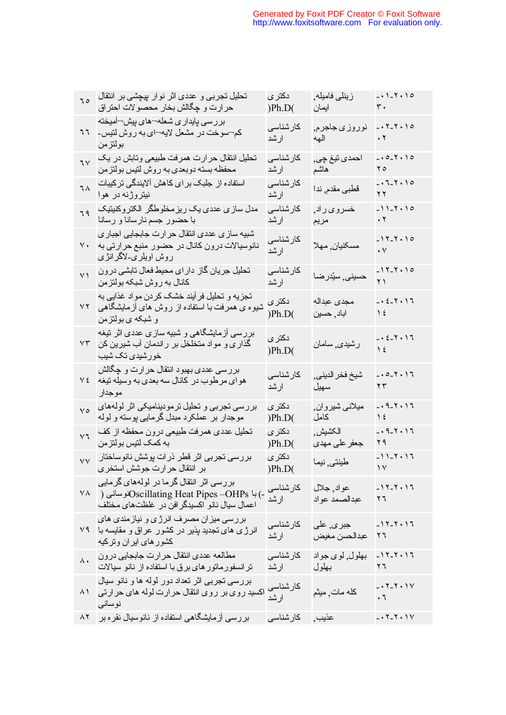| ٦٥               | تحلیل تجربی و عددی اثر نوار پیچشی بر انتقال<br>حرارت و چگالش بخار محصولات احتراق                                                             | دکتر ی<br>) Ph.D(  | زینلی فامیله <sub>,</sub><br>ايمان          | $-.1 - 7.10$<br>٣.                                           |
|------------------|----------------------------------------------------------------------------------------------------------------------------------------------|--------------------|---------------------------------------------|--------------------------------------------------------------|
| ٦٦               | بررسی پایداری شعله¬های پیش¬آمیخته<br>كم¬سوخت در مشعل لايه¬اي به روش لتيس-<br>بولتزمن                                                         | كارشناسى<br>ارشد   | نوروز <i>ی</i> جاجرم <sub>,</sub><br>الهه   | $-.7 - 7.10$<br>$\boldsymbol{\cdot}$ $\boldsymbol{\upgamma}$ |
| 7 <sub>V</sub>   | تحلیل انتقال حرارت همرفت طبیعی وتابش در یک<br>محفظه بسته دوبعدي به روش لنيس بولتزمن                                                          | كارشناسى<br>ارشد   | احمدي نيغ چي,<br>هاشم                       | $-.0 - 7.10$<br>ه ۲                                          |
| ٦٨               | استفاده از جلبک بر ا <i>ی</i> کاهش آلایندگ <i>ی</i> ترکیبات<br>نیتروژنه در هوا                                                               | کار شناسی<br>ارشد  | قطبی مقدم فندا                              | $-.7 - 7.10$<br>۲۲                                           |
| ٦٩               | مدل ساز ی عددی یک ریز مخلوطگر الکتروکنیتیک<br>با حضور جسم نارسانا و رسانا                                                                    | كارشناسى<br>ارشد   | خسرو <i>ی</i> راد <sub>,</sub><br>مريم      | $-11 - 7.10$<br>$\cdot$ $\mathsf{r}$                         |
| $\vee$ .         | شبیه ساز ی عددی انتقال حر ارت جابجایی اجبار ی<br>نانوسیالات درون کانال در حضور منبع حرارتی به<br>روش اویلری۔لاگرانژی                         | كارشناسى<br>ارشد   | مسكنيان ٍ مهلا                              | $-11 - 7.10$<br>$\boldsymbol{\cdot}$ $\vee$                  |
| $\vee$           | تحلیل جریان گاز دارای محیط فعال تابشی درون<br>كانال به روش شبكه بولتزمن                                                                      | كارشناسى<br>ارشد   | حسيني ٍ سيّدرضا                             | $-11 - 7.10$<br>$\overline{Y}$                               |
| ۷۲               | تجزیه و تحلیل فر ایند خشک کردن مواد غذایی به<br>شیوه ی همرفت با استفاده از روش های أزمایشگاهی<br>و شبکه ی بولتزمن                            | دکتر ی<br>) Ph.D(  | مجدى عبداله<br>اباد <sub>,</sub> حسین       | $-0.5 - 1.1$<br>$\lambda$                                    |
| ۷۳               | بررسی أزمایشگاهی و شبیه سازی عددی اثر تیغه<br>گذاری و مواد متخلخل بر راندمان أب شیرین کن<br>خور شیدی تک شیب                                  | دکتر ی<br>) Ph.D(  | رشيدي ٍسامان                                | $-0.5 - 1.1$<br>$\frac{1}{2}$                                |
| ٧٤               | بررسی عددی بهبود انتقال حرارت و چگالش<br>هواي مرطوب در كانال سه بعدي به وسيله نيغه<br>موجدار                                                 | كارشناسى<br>ارشد   | شيخ فخر الديني٬<br>سهيل                     | $-.0 - 1.1$<br>$\gamma \gamma$                               |
| $\vee$ 0         | بررسی تجربی و تحلیل ترمودینامیکی اثر لولههای<br>موجدار بر عملکرد مبدل گرمایی پوسته و لوله                                                    | دکتر ی<br>) Ph.D(  | ميلاني شيروان,<br>كامل                      | $-0.9 - 1.17$<br>$\frac{1}{2}$                               |
| $\vee$ 7         | تحلیل عددی همرفت طبیعی درون محفظه از کف<br>به کمک لتیس بولتز من                                                                              | دكترى<br>) Ph.D(   | الكشيش<br>جعفر على مهدى                     | $-0.9 - 1.17$<br>۲۹                                          |
| $\vee\vee$       | بررسی تجربی اثر قطر ذرات پوشش نانوساختار<br>بر انتقال حرارت جوشش استخرى                                                                      | دکتر ی<br>) Ph.D(  | طينتي فنيما                                 | $-11 - 11$<br>$\mathcal{N}$                                  |
|                  | بررسی اثر انتقال گرما در لولههای گرمایی<br>-) با Oscillating Heat Pipes –OHPsنوسانی (     ^^<br>اعمال سيال نانو اكسيدگر افن در غلظتهاي مختلف | كارشناسى<br>ارشد   | عواد جلال<br>عبدالصمد عواد                  | $-11 - 11$<br>۲٦                                             |
| ۷۹               | بررسی میز ان مصرف انرژی و نیازمندی های<br>انرژی های تجدید پذیر در کشور عراق و مقایسه با<br>كشور هاى اير ان وتركيه                            | كارشناسى<br>ارشد   | جبر <i>ی</i> , عل <i>ی</i><br>عبدالحسن مغيض | $-11 - 7.17$<br>۲٦                                           |
| $\lambda \cdot$  | مطالعه عددي انتقال حرارت جابجايي درون<br>تر انسفور ماتور های برق با استفاده از نانو سیالات                                                   | کار شناسی<br>ار شد | بهلول ٍ لوي جواد<br>بهلول                   | $-11 - 7.17$<br>۲٦                                           |
| ۸١               | بررسي تجربي اثر تعداد دور لوله ها و نانو سيال<br>اکسید روی بر روی انتقال حرارت لوله های حرارتی<br>نوساني                                     | كارشناسى<br>ارشد   | كله مات, ميثم                               | $-0.7 - 7.9$<br>$\cdot$ 7                                    |
| $\wedge\upgamma$ | بررسی أزمایشگاهی استفاده از نانوسیال نقره بر                                                                                                 | كار شناسى          | عذيب,                                       | $-.7 - 7.1$                                                  |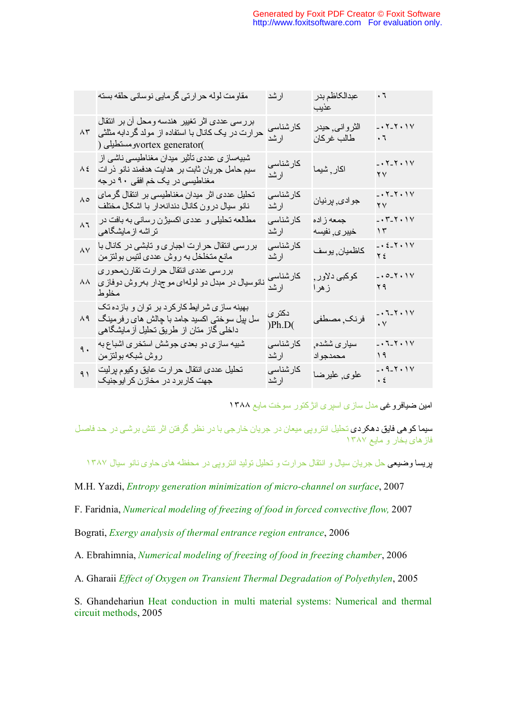|                 | مقاومت لوله حرارتي گرمايي نوساني حلقه بسته                                                                                                       | ارشد              | عبدالكاظم بدر<br>عذيب                    | $\cdot$ ٦                                   |
|-----------------|--------------------------------------------------------------------------------------------------------------------------------------------------|-------------------|------------------------------------------|---------------------------------------------|
|                 | بررسی عددی اثر تغییر هندسه ومحل أن بر انتقال<br>حرارت در یک کانال با استفاده از مولد گردابه مثلثی   ۸۳<br>) yortex generator(ومستطيلي            | کارشناسی<br>ارشد  | الثرواني حيدر<br>طالب غركان              | $-0.7 - 7.9$<br>$\cdot$ 7                   |
|                 | شبیهساز <i>ی</i> عددی تأثیر میدان مغناطیسی ناشی از<br>سیم حامل جریان ثابت بر  هدایت هدفمند نانو ذر ات $\,$ ۸ ٤<br>مغناطیسی در یک خم افقی ۹۰ درجه | كارشناسى<br>ارشد  | اكار ¸ شيما                              | $-0.7 - 7.9$<br>$\mathsf{Y}\mathsf{Y}$      |
| $\Lambda \circ$ | تحلیل عددی اثر میدان مغناطیسی بر انتقال گرمای<br>نانو سیال درون کانال دندانـدار بـا اشکال مختلف                                                  | كار شناسى<br>ارشد | جو ادي <sub>,</sub> پرنيان               | $-0.7 - 7.9$<br>۲۷                          |
| $\wedge$ 7      | مطالعه تحلیلی و عددی اکسیژن رسانی به بافت در<br>تراشه ازمایشگاهی                                                                                 | كارشناسى<br>ارشد  | جمعه زاده<br>خببر ی٫ نفیسه               | $-0.7 - 7.8$<br>$\gamma \tau$               |
| $\lambda V$     | بررسی انتقال حرارت اجباری و تابشی در کانال با<br>مانع متخلخل به روش عددي لتيس بولتزمن                                                            | كار شناسى<br>ارشد | كاظميان, يوسف                            | $-0.5 - 7.5$<br>۲٤                          |
| ۸۸              | بررسی عددی انتقال حرارت تقارنمحوری<br>نانوسیال در مبدل دو لولهای موجدار بهروش دوفازی<br>مخلوط                                                    | كارشناسى<br>ارشد  | کوکب <i>ی</i> دلاور <sub>،</sub><br>زهرا | $-.0 - 1.1$<br>YQ                           |
| ۸۹              | بهینه ساز ی شر ایط کار کرد بر توان و بازده تک<br>سل بیل سوختی اکسید جامد با چالش های رفرمینگ<br>داخلی گاز متان از طریق تحلیل آزمایشگاهی          | دکتر ی<br>) Ph.D( | فرنک ٖمصطفى                              | $-0.7 - 7.9$<br>$\boldsymbol{\cdot}$ $\vee$ |
| ٩.              | شبیه ساز ی دو بعدی جوشش استخر ی اشباع به<br>روش شبكه بولتزمن                                                                                     | كار شناسى<br>ارشد | سیاری ششده <sub>,</sub><br>محمدجواد      | $-0.7 - 7.9$<br>19                          |
| 91              | تحليل عددى انتقال حرارت عايق وكيوم پرليت<br>جهت کاربر د در مخازن کر ایوجنیک                                                                      | كارشناسى<br>ارشد  | علوى <sub>,</sub> عليرضا                 | $-0.9 - 1.1$<br>$\cdot$ 2                   |
|                 |                                                                                                                                                  |                   |                                          |                                             |

فروغی امین ضیا مدل سازی اسپری انژکتور سوخت مایع ١٣٨٨

**سیما کوهی فایق دهکردی** تحلیل انتروپی میعان در جریان خارجی با در نظر گرفتن اثر تتش برشی در حد فاصل ١٣٨٧ فازهای بخار و مایع

پریسا وضیعی ١٣٨٧ حل جریان سیال و انتقال حرارت و تحلیل تولید انتروپی در محفظه های حاوی نانو سیال

M.H. Yazdi, *Entropy generation minimization of micro-channel on surface*, 2007

F. Faridnia, *Numerical modeling of freezing of food in forced convective flow,* 2007

Bograti, *Exergy analysis of thermal entrance region entrance*, 2006

A. Ebrahimnia, *Numerical modeling of freezing of food in freezing chamber*, 2006

A. Gharaii *Effect of Oxygen on Transient Thermal Degradation of Polyethylen*, 2005

S. Ghandehariun Heat conduction in multi material systems: Numerical and thermal circuit methods, 2005